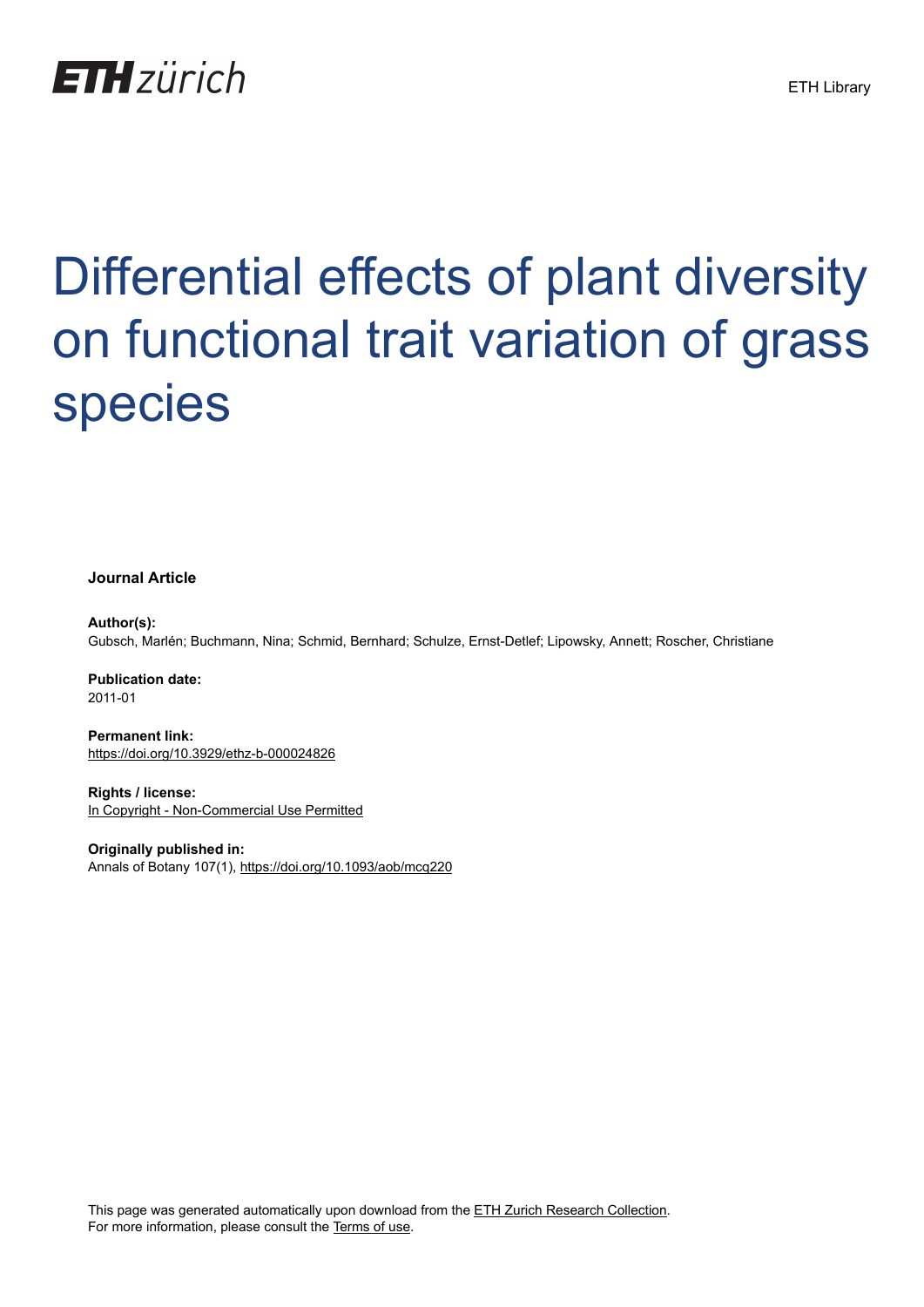

# Differential effects of plant diversity on functional trait variation of grass species

**Journal Article**

**Author(s):** Gubsch, Marlén; Buchmann, Nina; Schmid, Bernhard; Schulze, Ernst-Detlef; Lipowsky, Annett; Roscher, Christiane

**Publication date:** 2011-01

**Permanent link:** <https://doi.org/10.3929/ethz-b-000024826>

**Rights / license:** [In Copyright - Non-Commercial Use Permitted](http://rightsstatements.org/page/InC-NC/1.0/)

**Originally published in:** Annals of Botany 107(1), <https://doi.org/10.1093/aob/mcq220>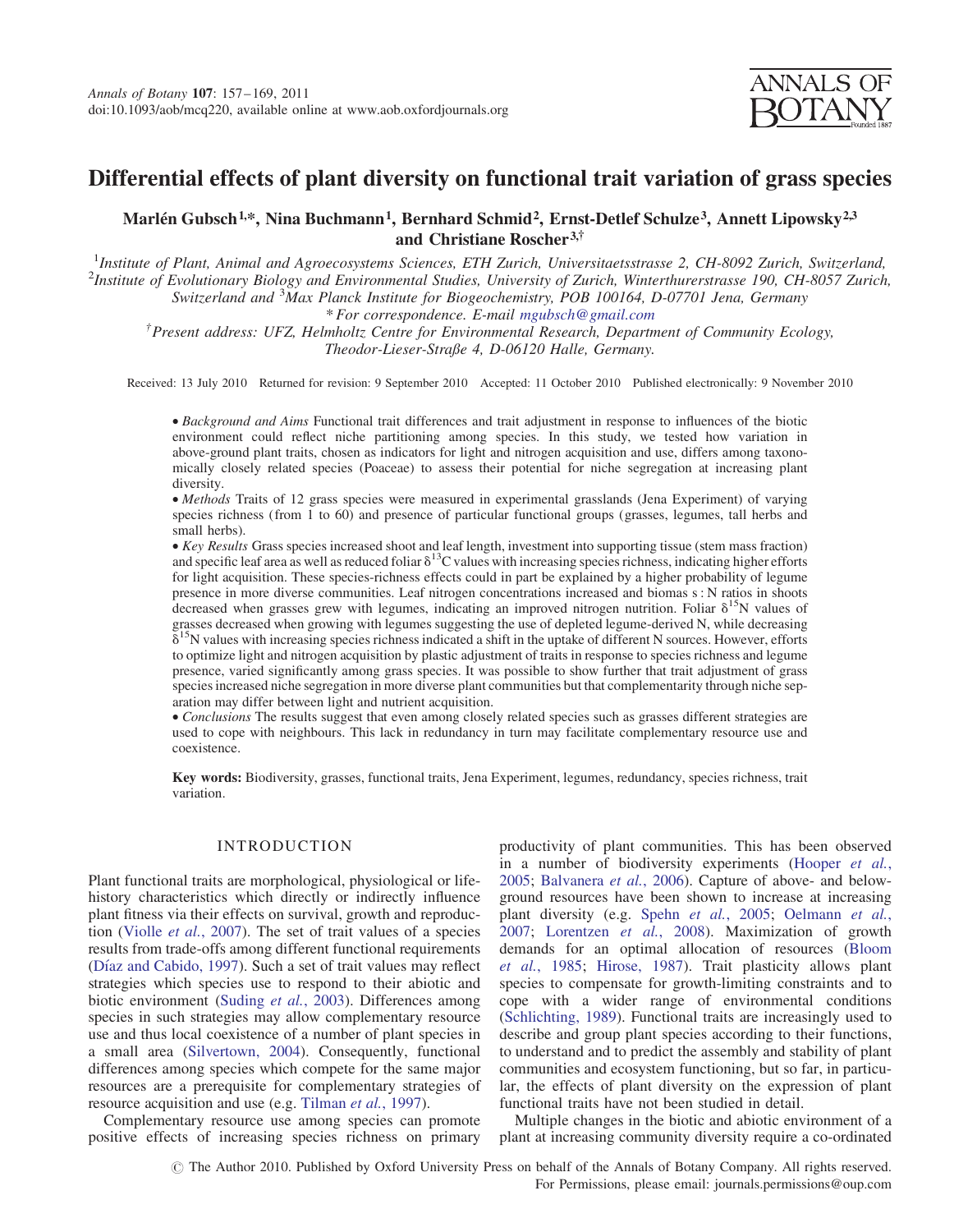# Differential effects of plant diversity on functional trait variation of grass species

# Marlén Gubsch<sup>1,\*</sup>, Nina Buchmann<sup>1</sup>, Bernhard Schmid<sup>2</sup>, Ernst-Detlef Schulze<sup>3</sup>, Annett Lipowsky<sup>2,3</sup> and Christiane Roscher3,†

<sup>1</sup>Institute of Plant, Animal and Agroecosystems Sciences, ETH Zurich, Universitaetsstrasse 2, CH-8092 Zurich, Switzerland,  $^2$ Institute of Evolutionary Biology and Environmental Studies, University of Zurich, Winterthurerstrasse 190, CH-8057 Zurich, Switzerland and <sup>3</sup>Max Planck Institute for Biogeochemistry, POB 100164, D-07701 Jena, Germany \* For correspondence. E-mail [mgubsch@gmail.com](mailto:mgubsch@gmail.com) <sup>†</sup> Present address: UFZ, Helmholtz Centre for Environmental Research, Department of Community Ecology, Theodor-Lieser-Straße 4, D-06120 Halle, Germany.

Received: 13 July 2010 Returned for revision: 9 September 2010 Accepted: 11 October 2010 Published electronically: 9 November 2010

† Background and Aims Functional trait differences and trait adjustment in response to influences of the biotic environment could reflect niche partitioning among species. In this study, we tested how variation in above-ground plant traits, chosen as indicators for light and nitrogen acquisition and use, differs among taxonomically closely related species (Poaceae) to assess their potential for niche segregation at increasing plant diversity.

• Methods Traits of 12 grass species were measured in experimental grasslands (Jena Experiment) of varying species richness (from 1 to 60) and presence of particular functional groups (grasses, legumes, tall herbs and small herbs).

• Key Results Grass species increased shoot and leaf length, investment into supporting tissue (stem mass fraction) and specific leaf area as well as reduced foliar  $\delta^{13}C$  values with increasing species richness, indicating higher efforts for light acquisition. These species-richness effects could in part be explained by a higher probability of legume presence in more diverse communities. Leaf nitrogen concentrations increased and biomas s : N ratios in shoots decreased when grasses grew with legumes, indicating an improved nitrogen nutrition. Foliar  $\delta^{15}N$  values of grasses decreased when growing with legumes suggesting the use of depleted legume-derived N, while decreasing  $\delta$ <sup>15</sup>N values with increasing species richness indicated a shift in the uptake of different N sources. However, efforts to optimize light and nitrogen acquisition by plastic adjustment of traits in response to species richness and legume presence, varied significantly among grass species. It was possible to show further that trait adjustment of grass species increased niche segregation in more diverse plant communities but that complementarity through niche separation may differ between light and nutrient acquisition.

†Conclusions The results suggest that even among closely related species such as grasses different strategies are used to cope with neighbours. This lack in redundancy in turn may facilitate complementary resource use and coexistence.

Key words: Biodiversity, grasses, functional traits, Jena Experiment, legumes, redundancy, species richness, trait variation.

#### INTRODUCTION

Plant functional traits are morphological, physiological or lifehistory characteristics which directly or indirectly influence plant fitness via their effects on survival, growth and reproduction (Violle et al.[, 2007](#page-13-0)). The set of trait values of a species results from trade-offs among different functional requirements (Díaz and Cabido, 1997). Such a set of trait values may reflect strategies which species use to respond to their abiotic and biotic environment ([Suding](#page-13-0) et al., 2003). Differences among species in such strategies may allow complementary resource use and thus local coexistence of a number of plant species in a small area ([Silvertown, 2004\)](#page-13-0). Consequently, functional differences among species which compete for the same major resources are a prerequisite for complementary strategies of resource acquisition and use (e.g. [Tilman](#page-13-0) et al., 1997).

Complementary resource use among species can promote positive effects of increasing species richness on primary productivity of plant communities. This has been observed in a number of biodiversity experiments ([Hooper](#page-13-0) et al., [2005;](#page-13-0) [Balvanera](#page-12-0) et al., 2006). Capture of above- and belowground resources have been shown to increase at increasing plant diversity (e.g. Spehn et al.[, 2005;](#page-13-0) [Oelmann](#page-13-0) et al., [2007;](#page-13-0) [Lorentzen](#page-13-0) et al., 2008). Maximization of growth demands for an optimal allocation of resources [\(Bloom](#page-12-0) et al.[, 1985;](#page-12-0) [Hirose, 1987\)](#page-13-0). Trait plasticity allows plant species to compensate for growth-limiting constraints and to cope with a wider range of environmental conditions [\(Schlichting, 1989\)](#page-13-0). Functional traits are increasingly used to describe and group plant species according to their functions, to understand and to predict the assembly and stability of plant communities and ecosystem functioning, but so far, in particular, the effects of plant diversity on the expression of plant functional traits have not been studied in detail.

**ANNALS OF ROTANY** 

Multiple changes in the biotic and abiotic environment of a plant at increasing community diversity require a co-ordinated

© The Author 2010. Published by Oxford University Press on behalf of the Annals of Botany Company. All rights reserved. For Permissions, please email: journals.permissions@oup.com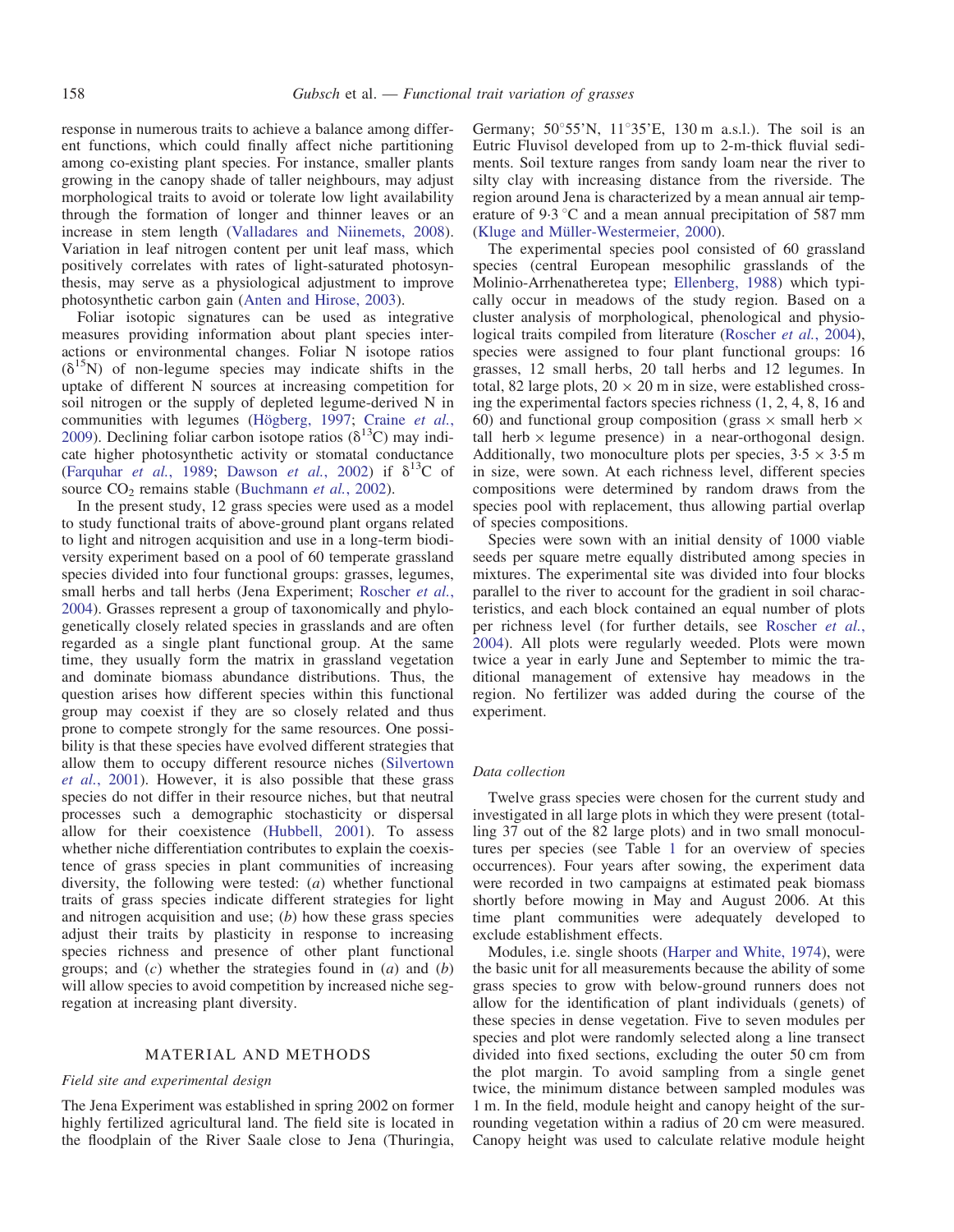response in numerous traits to achieve a balance among different functions, which could finally affect niche partitioning among co-existing plant species. For instance, smaller plants growing in the canopy shade of taller neighbours, may adjust morphological traits to avoid or tolerate low light availability through the formation of longer and thinner leaves or an increase in stem length ([Valladares and Niinemets, 2008\)](#page-13-0). Variation in leaf nitrogen content per unit leaf mass, which positively correlates with rates of light-saturated photosynthesis, may serve as a physiological adjustment to improve photosynthetic carbon gain [\(Anten and Hirose, 2003](#page-12-0)).

Foliar isotopic signatures can be used as integrative measures providing information about plant species interactions or environmental changes. Foliar N isotope ratios  $(\delta^{15}N)$  of non-legume species may indicate shifts in the uptake of different N sources at increasing competition for soil nitrogen or the supply of depleted legume-derived N in communities with legumes (Högberg, 1997; [Craine](#page-13-0) et al., [2009\)](#page-13-0). Declining foliar carbon isotope ratios ( $\delta^{13}$ C) may indicate higher photosynthetic activity or stomatal conductance ([Farquhar](#page-13-0) et al., 1989; [Dawson](#page-13-0) et al., 2002) if  $\delta^{13}C$  of source  $CO<sub>2</sub>$  remains stable [\(Buchmann](#page-13-0) *et al.*, 2002).

In the present study, 12 grass species were used as a model to study functional traits of above-ground plant organs related to light and nitrogen acquisition and use in a long-term biodiversity experiment based on a pool of 60 temperate grassland species divided into four functional groups: grasses, legumes, small herbs and tall herbs (Jena Experiment; [Roscher](#page-13-0) et al., [2004\)](#page-13-0). Grasses represent a group of taxonomically and phylogenetically closely related species in grasslands and are often regarded as a single plant functional group. At the same time, they usually form the matrix in grassland vegetation and dominate biomass abundance distributions. Thus, the question arises how different species within this functional group may coexist if they are so closely related and thus prone to compete strongly for the same resources. One possibility is that these species have evolved different strategies that allow them to occupy different resource niches [\(Silvertown](#page-13-0) et al.[, 2001\)](#page-13-0). However, it is also possible that these grass species do not differ in their resource niches, but that neutral processes such a demographic stochasticity or dispersal allow for their coexistence [\(Hubbell, 2001\)](#page-13-0). To assess whether niche differentiation contributes to explain the coexistence of grass species in plant communities of increasing diversity, the following were tested: (a) whether functional traits of grass species indicate different strategies for light and nitrogen acquisition and use;  $(b)$  how these grass species adjust their traits by plasticity in response to increasing species richness and presence of other plant functional groups; and  $(c)$  whether the strategies found in  $(a)$  and  $(b)$ will allow species to avoid competition by increased niche segregation at increasing plant diversity.

#### MATERIAL AND METHODS

#### Field site and experimental design

The Jena Experiment was established in spring 2002 on former highly fertilized agricultural land. The field site is located in the floodplain of the River Saale close to Jena (Thuringia, Germany;  $50^{\circ}55'N$ ,  $11^{\circ}35'E$ ,  $130$  m a.s.l.). The soil is an Eutric Fluvisol developed from up to 2-m-thick fluvial sediments. Soil texture ranges from sandy loam near the river to silty clay with increasing distance from the riverside. The region around Jena is characterized by a mean annual air temperature of  $9.3^{\circ}$ C and a mean annual precipitation of 587 mm (Kluge and Müller-Westermeier, 2000).

The experimental species pool consisted of 60 grassland species (central European mesophilic grasslands of the Molinio-Arrhenatheretea type; [Ellenberg, 1988](#page-13-0)) which typically occur in meadows of the study region. Based on a cluster analysis of morphological, phenological and physio-logical traits compiled from literature ([Roscher](#page-13-0) et al., 2004), species were assigned to four plant functional groups: 16 grasses, 12 small herbs, 20 tall herbs and 12 legumes. In total, 82 large plots,  $20 \times 20$  m in size, were established crossing the experimental factors species richness (1, 2, 4, 8, 16 and 60) and functional group composition (grass  $\times$  small herb  $\times$ tall herb  $\times$  legume presence) in a near-orthogonal design. Additionally, two monoculture plots per species,  $3.5 \times 3.5$  m in size, were sown. At each richness level, different species compositions were determined by random draws from the species pool with replacement, thus allowing partial overlap of species compositions.

Species were sown with an initial density of 1000 viable seeds per square metre equally distributed among species in mixtures. The experimental site was divided into four blocks parallel to the river to account for the gradient in soil characteristics, and each block contained an equal number of plots per richness level (for further details, see [Roscher](#page-13-0) et al., [2004\)](#page-13-0). All plots were regularly weeded. Plots were mown twice a year in early June and September to mimic the traditional management of extensive hay meadows in the region. No fertilizer was added during the course of the experiment.

#### Data collection

Twelve grass species were chosen for the current study and investigated in all large plots in which they were present (totalling 37 out of the 82 large plots) and in two small monocultures per species (see Table [1](#page-3-0) for an overview of species occurrences). Four years after sowing, the experiment data were recorded in two campaigns at estimated peak biomass shortly before mowing in May and August 2006. At this time plant communities were adequately developed to exclude establishment effects.

Modules, i.e. single shoots ([Harper and White, 1974\)](#page-13-0), were the basic unit for all measurements because the ability of some grass species to grow with below-ground runners does not allow for the identification of plant individuals (genets) of these species in dense vegetation. Five to seven modules per species and plot were randomly selected along a line transect divided into fixed sections, excluding the outer 50 cm from the plot margin. To avoid sampling from a single genet twice, the minimum distance between sampled modules was 1 m. In the field, module height and canopy height of the surrounding vegetation within a radius of 20 cm were measured. Canopy height was used to calculate relative module height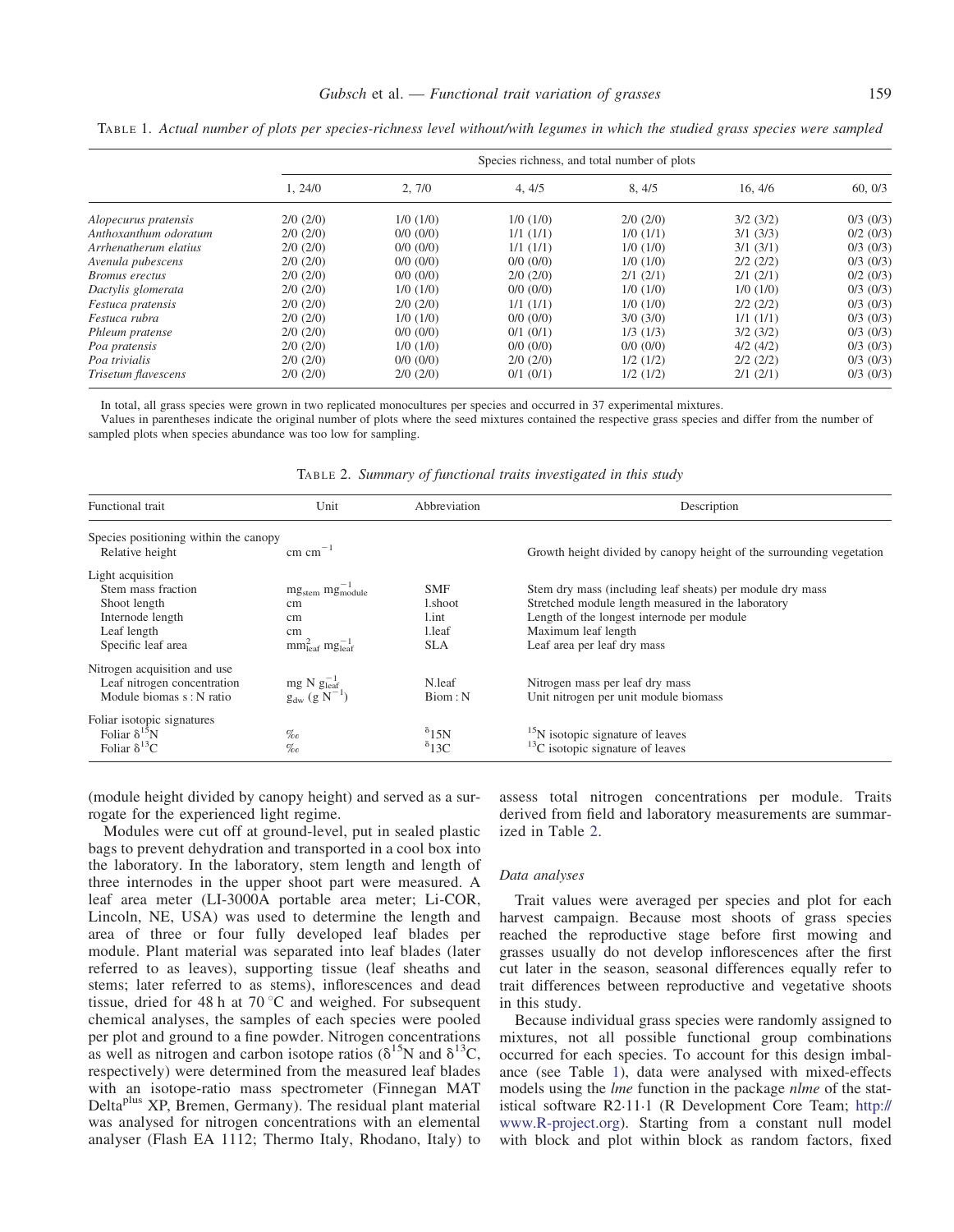|                       | Species richness, and total number of plots |                 |                 |                 |          |               |  |  |  |  |  |
|-----------------------|---------------------------------------------|-----------------|-----------------|-----------------|----------|---------------|--|--|--|--|--|
|                       | 1, 24/0                                     | 2,7/0           | 4, 4/5          | 8, 4/5          | 16, 4/6  | 60, 0/3       |  |  |  |  |  |
| Alopecurus pratensis  | $2/0$ ( $2/0$ )                             | 1/0(1/0)        | 1/0(1/0)        | $2/0$ ( $2/0$ ) | 3/2(3/2) | $0/3$ $(0/3)$ |  |  |  |  |  |
| Anthoxanthum odoratum | $2/0$ ( $2/0$ )                             | $0/0$ ( $0/0$ ) | 1/1(1/1)        | 1/0(1/1)        | 3/1(3/3) | $0/2$ (0/3)   |  |  |  |  |  |
| Arrhenatherum elatius | $2/0$ ( $2/0$ )                             | $0/0$ ( $0/0$ ) | 1/1(1/1)        | 1/0(1/0)        | 3/1(3/1) | $0/3$ (0/3)   |  |  |  |  |  |
| Avenula pubescens     | $2/0$ ( $2/0$ )                             | $0/0$ $(0/0)$   | $0/0$ (0/0)     | 1/0(1/0)        | 2/2(2/2) | $0/3$ (0/3)   |  |  |  |  |  |
| <i>Bromus erectus</i> | $2/0$ ( $2/0$ )                             | $0/0$ $(0/0)$   | $2/0$ ( $2/0$ ) | 2/1(2/1)        | 2/1(2/1) | $0/2$ (0/3)   |  |  |  |  |  |
| Dactylis glomerata    | $2/0$ ( $2/0$ )                             | 1/0(1/0)        | $0/0$ (0/0)     | 1/0(1/0)        | 1/0(1/0) | $0/3$ (0/3)   |  |  |  |  |  |
| Festuca pratensis     | $2/0$ ( $2/0$ )                             | $2/0$ $(2/0)$   | 1/1(1/1)        | 1/0(1/0)        | 2/2(2/2) | $0/3$ (0/3)   |  |  |  |  |  |
| Festuca rubra         | $2/0$ ( $2/0$ )                             | 1/0(1/0)        | $0/0$ (0/0)     | $3/0$ $(3/0)$   | 1/1(1/1) | $0/3$ (0/3)   |  |  |  |  |  |
| Phleum pratense       | $2/0$ ( $2/0$ )                             | $0/0$ ( $0/0$ ) | $0/1$ $(0/1)$   | $1/3$ $(1/3)$   | 3/2(3/2) | $0/3$ (0/3)   |  |  |  |  |  |
| Poa pratensis         | $2/0$ ( $2/0$ )                             | 1/0(1/0)        | $0/0$ (0/0)     | 0/0 (0/0)       | 4/2(4/2) | $0/3$ (0/3)   |  |  |  |  |  |
| Poa trivialis         | $2/0$ ( $2/0$ )                             | $0/0$ ( $0/0$ ) | $2/0$ ( $2/0$ ) | 1/2(1/2)        | 2/2(2/2) | $0/3$ $(0/3)$ |  |  |  |  |  |
| Trisetum flavescens   | $2/0$ ( $2/0$ )                             | $2/0$ $(2/0)$   | $0/1$ $(0/1)$   | 1/2(1/2)        | 2/1(2/1) | $0/3$ (0/3)   |  |  |  |  |  |

<span id="page-3-0"></span>TABLE 1. Actual number of plots per species-richness level without/with legumes in which the studied grass species were sampled

In total, all grass species were grown in two replicated monocultures per species and occurred in 37 experimental mixtures.

Values in parentheses indicate the original number of plots where the seed mixtures contained the respective grass species and differ from the number of sampled plots when species abundance was too low for sampling.

TABLE 2. Summary of functional traits investigated in this study

| Functional trait                                                                                                 | Unit                                                                           | Abbreviation                                              | Description                                                                                                                                                                                                         |
|------------------------------------------------------------------------------------------------------------------|--------------------------------------------------------------------------------|-----------------------------------------------------------|---------------------------------------------------------------------------------------------------------------------------------------------------------------------------------------------------------------------|
| Species positioning within the canopy<br>Relative height                                                         | $\text{cm cm}^{-1}$                                                            |                                                           | Growth height divided by canopy height of the surrounding vegetation                                                                                                                                                |
| Light acquisition<br>Stem mass fraction<br>Shoot length<br>Internode length<br>Leaf length<br>Specific leaf area | $mg_{\rm stem}$ $mg_{\rm module}^{-1}$<br>cm<br>cm<br>cm<br>$mmleaf2 mgleaf-1$ | <b>SMF</b><br>1.shoot<br>$1$ .int<br>1.1eaf<br><b>SLA</b> | Stem dry mass (including leaf sheats) per module dry mass<br>Stretched module length measured in the laboratory<br>Length of the longest internode per module<br>Maximum leaf length<br>Leaf area per leaf dry mass |
| Nitrogen acquisition and use<br>Leaf nitrogen concentration<br>Module biomas s : N ratio                         | mg N $g_{\text{leaf}}^{-1}$<br>$g_{\text{dw}}(g N^{-1})$                       | N.leaf<br>Biom: N                                         | Nitrogen mass per leaf dry mass<br>Unit nitrogen per unit module biomass                                                                                                                                            |
| Foliar isotopic signatures<br>Foliar $\delta^{15}N$<br>Foliar $\delta^{13}C$                                     | $\%$ o<br>$\%o$                                                                | $\delta$ <sub>15N</sub><br>$\delta$ 13C                   | <sup>15</sup> N isotopic signature of leaves<br>${}^{13}$ C isotopic signature of leaves                                                                                                                            |

(module height divided by canopy height) and served as a surrogate for the experienced light regime.

Modules were cut off at ground-level, put in sealed plastic bags to prevent dehydration and transported in a cool box into the laboratory. In the laboratory, stem length and length of three internodes in the upper shoot part were measured. A leaf area meter (LI-3000A portable area meter; Li-COR, Lincoln, NE, USA) was used to determine the length and area of three or four fully developed leaf blades per module. Plant material was separated into leaf blades (later referred to as leaves), supporting tissue (leaf sheaths and stems; later referred to as stems), inflorescences and dead tissue, dried for 48 h at 70 $\degree$ C and weighed. For subsequent chemical analyses, the samples of each species were pooled per plot and ground to a fine powder. Nitrogen concentrations as well as nitrogen and carbon isotope ratios ( $\delta^{15}N$  and  $\delta^{13}C$ , respectively) were determined from the measured leaf blades with an isotope-ratio mass spectrometer (Finnegan MAT Delta<sup>plus</sup> XP, Bremen, Germany). The residual plant material was analysed for nitrogen concentrations with an elemental analyser (Flash EA 1112; Thermo Italy, Rhodano, Italy) to

assess total nitrogen concentrations per module. Traits derived from field and laboratory measurements are summarized in Table 2.

#### Data analyses

Trait values were averaged per species and plot for each harvest campaign. Because most shoots of grass species reached the reproductive stage before first mowing and grasses usually do not develop inflorescences after the first cut later in the season, seasonal differences equally refer to trait differences between reproductive and vegetative shoots in this study.

Because individual grass species were randomly assigned to mixtures, not all possible functional group combinations occurred for each species. To account for this design imbalance (see Table 1), data were analysed with mixed-effects models using the *lme* function in the package *nlme* of the statistical software R2.11.1 (R Development Core Team; [http://](http://www.R-project.org) [www.R-project.org](http://www.R-project.org)). Starting from a constant null model with block and plot within block as random factors, fixed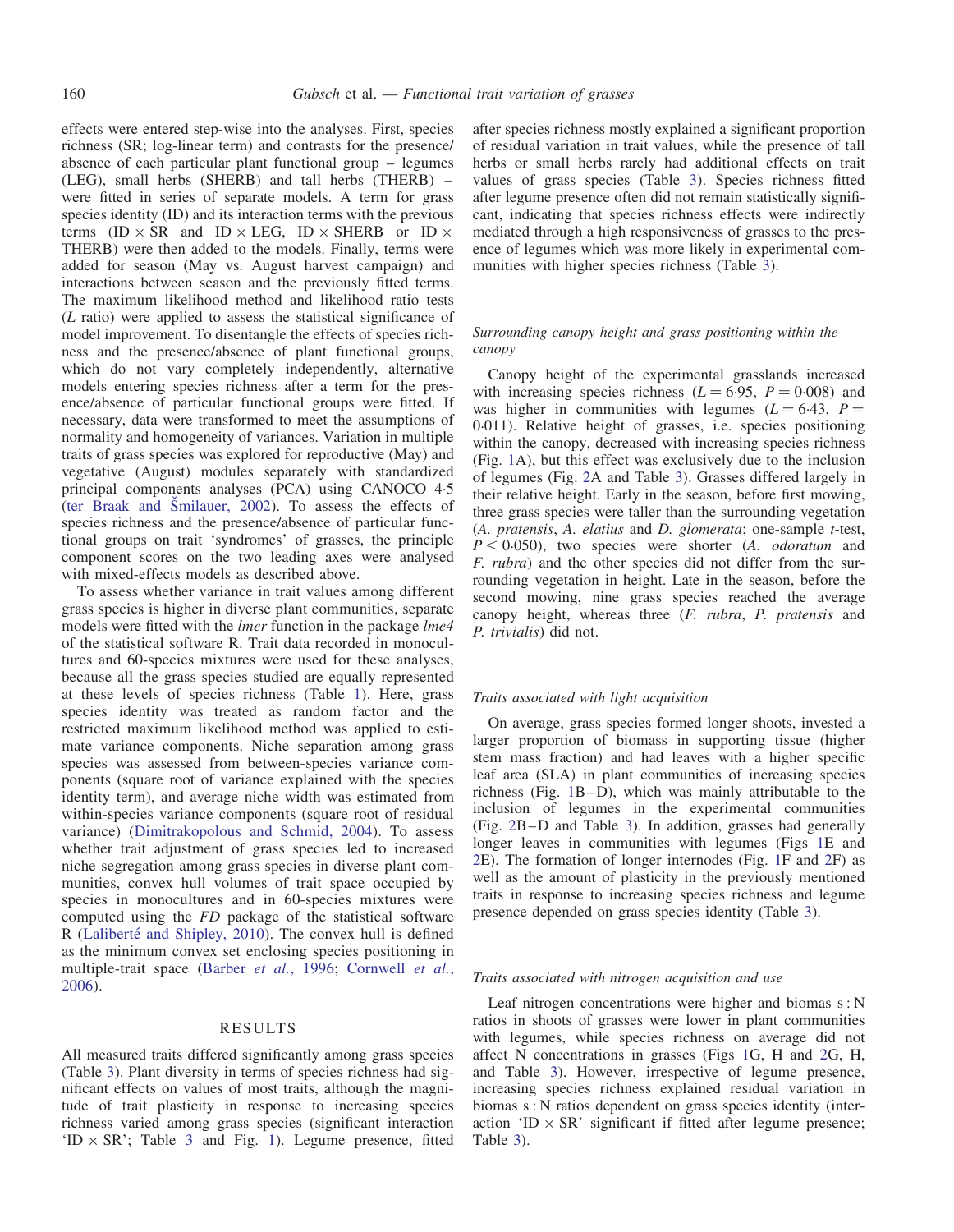effects were entered step-wise into the analyses. First, species richness (SR; log-linear term) and contrasts for the presence/ absence of each particular plant functional group – legumes (LEG), small herbs (SHERB) and tall herbs (THERB) – were fitted in series of separate models. A term for grass species identity (ID) and its interaction terms with the previous terms  $(ID \times SR \text{ and } ID \times LEG, ID \times SHERB \text{ or } ID \times$ THERB) were then added to the models. Finally, terms were added for season (May vs. August harvest campaign) and interactions between season and the previously fitted terms. The maximum likelihood method and likelihood ratio tests (L ratio) were applied to assess the statistical significance of model improvement. To disentangle the effects of species richness and the presence/absence of plant functional groups, which do not vary completely independently, alternative models entering species richness after a term for the presence/absence of particular functional groups were fitted. If necessary, data were transformed to meet the assumptions of normality and homogeneity of variances. Variation in multiple traits of grass species was explored for reproductive (May) and vegetative (August) modules separately with standardized principal components analyses (PCA) using CANOCO 4.5 (ter Braak and Šmilauer,  $2002$ ). To assess the effects of species richness and the presence/absence of particular functional groups on trait 'syndromes' of grasses, the principle component scores on the two leading axes were analysed with mixed-effects models as described above.

To assess whether variance in trait values among different grass species is higher in diverse plant communities, separate models were fitted with the lmer function in the package lme4 of the statistical software R. Trait data recorded in monocultures and 60-species mixtures were used for these analyses, because all the grass species studied are equally represented at these levels of species richness (Table [1](#page-3-0)). Here, grass species identity was treated as random factor and the restricted maximum likelihood method was applied to estimate variance components. Niche separation among grass species was assessed from between-species variance components (square root of variance explained with the species identity term), and average niche width was estimated from within-species variance components (square root of residual variance) [\(Dimitrakopolous and Schmid, 2004](#page-13-0)). To assess whether trait adjustment of grass species led to increased niche segregation among grass species in diverse plant communities, convex hull volumes of trait space occupied by species in monocultures and in 60-species mixtures were computed using the FD package of the statistical software R (Laliberté [and Shipley, 2010\)](#page-13-0). The convex hull is defined as the minimum convex set enclosing species positioning in multiple-trait space (Barber et al.[, 1996;](#page-12-0) [Cornwell](#page-13-0) et al., [2006\)](#page-13-0).

# RESULTS

All measured traits differed significantly among grass species (Table [3\)](#page-5-0). Plant diversity in terms of species richness had significant effects on values of most traits, although the magnitude of trait plasticity in response to increasing species richness varied among grass species (significant interaction  $'ID \times SR'$ ; Table [3](#page-5-0) and Fig. [1](#page-6-0)). Legume presence, fitted after species richness mostly explained a significant proportion of residual variation in trait values, while the presence of tall herbs or small herbs rarely had additional effects on trait values of grass species (Table [3\)](#page-5-0). Species richness fitted after legume presence often did not remain statistically significant, indicating that species richness effects were indirectly mediated through a high responsiveness of grasses to the presence of legumes which was more likely in experimental communities with higher species richness (Table [3\)](#page-5-0).

# Surrounding canopy height and grass positioning within the canopy

Canopy height of the experimental grasslands increased with increasing species richness ( $L = 6.95$ ,  $P = 0.008$ ) and was higher in communities with legumes ( $L = 6.43$ ,  $P =$ 0.011). Relative height of grasses, i.e. species positioning within the canopy, decreased with increasing species richness (Fig. [1](#page-6-0)A), but this effect was exclusively due to the inclusion of legumes (Fig. [2](#page-7-0)A and Table [3\)](#page-5-0). Grasses differed largely in their relative height. Early in the season, before first mowing, three grass species were taller than the surrounding vegetation (A. pratensis, A. elatius and D. glomerata; one-sample t-test,  $P < 0.050$ ), two species were shorter (A. *odoratum* and F. rubra) and the other species did not differ from the surrounding vegetation in height. Late in the season, before the second mowing, nine grass species reached the average canopy height, whereas three (F. rubra, P. pratensis and P. trivialis) did not.

#### Traits associated with light acquisition

On average, grass species formed longer shoots, invested a larger proportion of biomass in supporting tissue (higher stem mass fraction) and had leaves with a higher specific leaf area (SLA) in plant communities of increasing species richness (Fig. [1](#page-6-0)B–D), which was mainly attributable to the inclusion of legumes in the experimental communities (Fig. [2B](#page-7-0)–D and Table [3](#page-5-0)). In addition, grasses had generally longer leaves in communities with legumes (Figs [1](#page-6-0)E and [2E](#page-7-0)). The formation of longer internodes (Fig. [1](#page-6-0)F and [2F](#page-7-0)) as well as the amount of plasticity in the previously mentioned traits in response to increasing species richness and legume presence depended on grass species identity (Table [3](#page-5-0)).

# Traits associated with nitrogen acquisition and use

Leaf nitrogen concentrations were higher and biomas  $s : N$ ratios in shoots of grasses were lower in plant communities with legumes, while species richness on average did not affect N concentrations in grasses (Figs [1](#page-6-0)G, H and [2G](#page-7-0), H, and Table [3](#page-5-0)). However, irrespective of legume presence, increasing species richness explained residual variation in biomas s : N ratios dependent on grass species identity (interaction 'ID  $\times$  SR' significant if fitted after legume presence; Table [3\)](#page-5-0).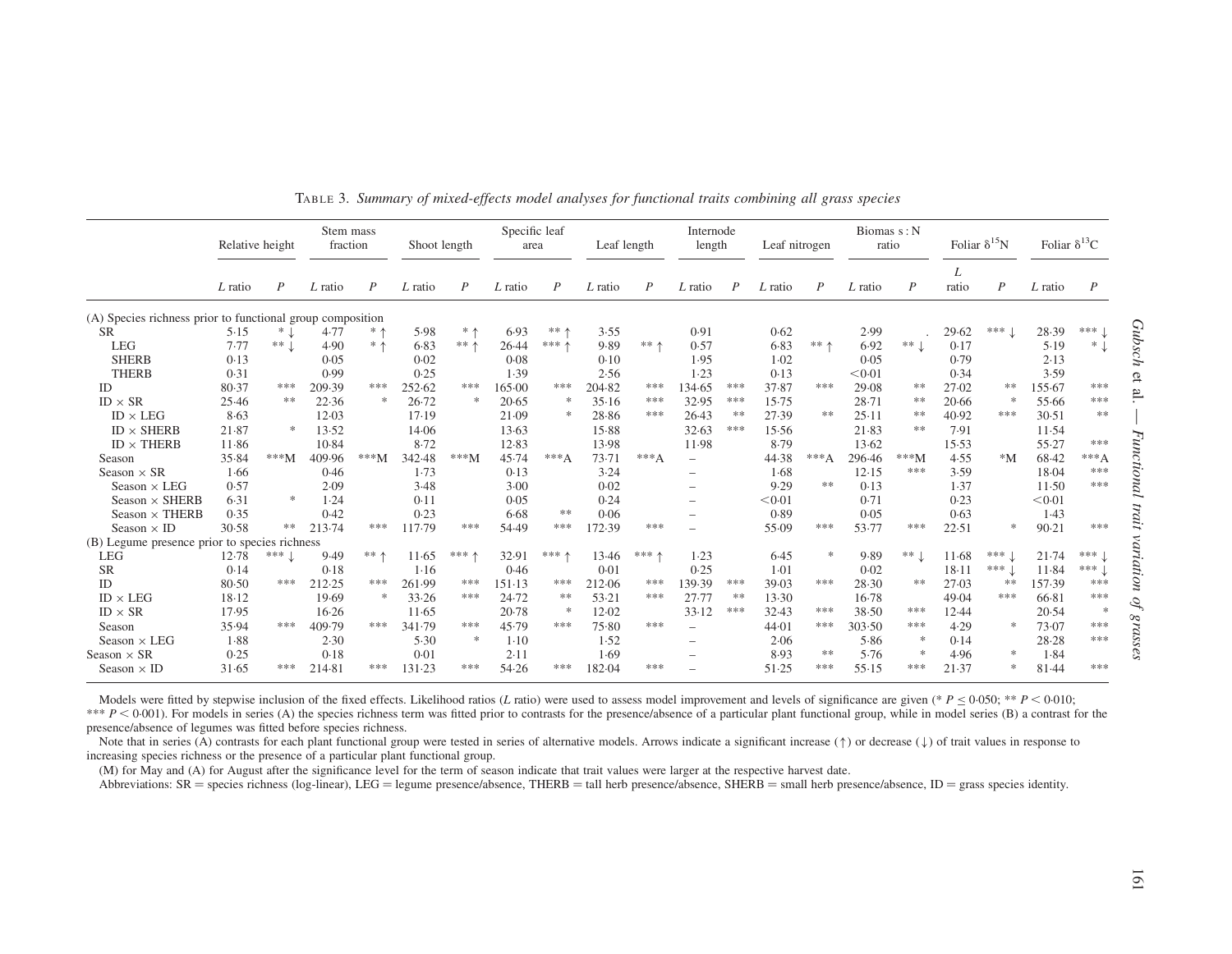<span id="page-5-0"></span>

|                                                            |         | Relative height | Stem mass<br>fraction |               | Shoot length |               | Specific leaf<br>area |               | Leaf length |                  | Internode<br>length      |                  | Leaf nitrogen |         | Biomas $s : N$<br>ratio |                |            | Foliar $\delta^{15}N$ |           | Foliar $\delta^{13}C$ |
|------------------------------------------------------------|---------|-----------------|-----------------------|---------------|--------------|---------------|-----------------------|---------------|-------------|------------------|--------------------------|------------------|---------------|---------|-------------------------|----------------|------------|-----------------------|-----------|-----------------------|
|                                                            | L ratio | P               | $L$ ratio             | P             | L ratio      | P             | L ratio               | P             | L ratio     | $\boldsymbol{P}$ | L ratio                  | $\boldsymbol{P}$ | L ratio       | P       | L ratio                 | $\overline{P}$ | L<br>ratio | P                     | $L$ ratio | P                     |
| (A) Species richness prior to functional group composition |         |                 |                       |               |              |               |                       |               |             |                  |                          |                  |               |         |                         |                |            |                       |           |                       |
| <b>SR</b>                                                  | 5.15    | *               | 4.77                  |               | 5.98         | * 1           | 6.93                  | ** ^          | 3.55        |                  | 0.91                     |                  | 0.62          |         | 2.99                    |                | 29.62      | *** 1                 | 28.39     | ***                   |
| <b>LEG</b>                                                 | 7.77    | ** 1            | 4.90                  | * 1           | 6.83         | ** 1          | 26.44                 | *** ^         | 9.89        | ** ^             | 0.57                     |                  | 6.83          | ** ^    | 6.92                    | **             | 0.17       |                       | 5.19      | $*$ $\downarrow$      |
| <b>SHERB</b>                                               | 0.13    |                 | 0.05                  |               | 0.02         |               | 0.08                  |               | 0.10        |                  | 1.95                     |                  | $1-02$        |         | 0.05                    |                | 0.79       |                       | 2.13      |                       |
| <b>THERB</b>                                               | 0.31    |                 | 0.99                  |               | 0.25         |               | 1.39                  |               | 2.56        |                  | 1.23                     |                  | 0.13          |         | < 0.01                  |                | 0.34       |                       | 3.59      |                       |
| <b>ID</b>                                                  | 80.37   | ***             | 209.39                | ***           | 252.62       | ***           | 165.00                | ***           | 204.82      | ***              | 134.65                   | ***              | 37.87         | ***     | 29.08                   | **             | 27.02      | **                    | 155.67    | ***                   |
| $ID \times SR$                                             | 25.46   | **              | 22.36                 | $\frac{1}{2}$ | 26.72        | $\frac{1}{2}$ | 20.65                 | 冰             | 35.16       | ***              | 32.95                    | ***              | 15.75         |         | 28.71                   | **             | 20.66      | 宋                     | 55.66     | ***                   |
| $ID \times LEG$                                            | 8.63    |                 | 12.03                 |               | 17.19        |               | 21.09                 | $\frac{1}{2}$ | 28.86       | ***              | 26.43                    | **               | 27.39         | **      | 25.11                   | **             | 40.92      | ***                   | 30.51     | **                    |
| $ID \times SHERB$                                          | 21.87   | *               | 13.52                 |               | 14.06        |               | 13.63                 |               | 15.88       |                  | 32.63                    | ***              | 15.56         |         | 21.83                   | **             | 7.91       |                       | 11.54     |                       |
| $ID \times THERB$                                          | 11.86   |                 | 10.84                 |               | 8.72         |               | 12.83                 |               | 13.98       |                  | 11.98                    |                  | 8.79          |         | 13.62                   |                | 15.53      |                       | 55.27     | ***                   |
| Season                                                     | 35.84   | $***M$          | 409.96                | $***M$        | 342.48       | $***M$        | 45.74                 | $***A$        | 73.71       | *** $A$          |                          |                  | 44.38         | *** $A$ | 296.46                  | ***M           | 4.55       | $*M$                  | 68.42     | $***A$                |
| Season $\times$ SR                                         | 1.66    |                 | 0.46                  |               | 1.73         |               | 0.13                  |               | 3.24        |                  |                          |                  | 1.68          |         | 12.15                   | ***            | 3.59       |                       | 18.04     | ***                   |
| Season $\times$ LEG                                        | 0.57    |                 | 2.09                  |               | 3.48         |               | 3.00                  |               | 0.02        |                  |                          |                  | 9.29          | **      | 0.13                    |                | 1.37       |                       | $11-50$   | ***                   |
| Season $\times$ SHERB                                      | 6.31    | 宗               | 1.24                  |               | 0.11         |               | 0.05                  |               | 0.24        |                  | $\overline{\phantom{a}}$ |                  | < 0.01        |         | 0.71                    |                | 0.23       |                       | < 0.01    |                       |
| Season $\times$ THERB                                      | 0.35    |                 | 0.42                  |               | 0.23         |               | 6.68                  | **            | 0.06        |                  | $\overline{\phantom{0}}$ |                  | 0.89          |         | 0.05                    |                | 0.63       |                       | 1.43      |                       |
| Season $\times$ ID                                         | 30.58   | **              | 213.74                | ***           | 117.79       | ***           | 54.49                 | ***           | 172.39      | ***              |                          |                  | 55.09         | ***     | 53.77                   | ***            | 22.51      | $\gg$                 | 90.21     | ***                   |
| (B) Legume presence prior to species richness              |         |                 |                       |               |              |               |                       |               |             |                  |                          |                  |               |         |                         |                |            |                       |           |                       |
| <b>LEG</b>                                                 | 12.78   | *** 1           | 9.49                  | ** 个          | $11-65$      | *** 1         | 32.91                 | *** 1         | 13.46       | *** ^            | 1.23                     |                  | 6.45          | $\ast$  | 9.89                    | $**$ ]         | $11-68$    | ***                   | 21.74     | ***                   |
| <b>SR</b>                                                  | 0.14    |                 | 0.18                  |               | 1.16         |               | 0.46                  |               | 0.01        |                  | 0.25                     |                  | $1-01$        |         | 0.02                    |                | $18 - 11$  | *** 1                 | 11.84     | ***                   |
| ID                                                         | 80.50   | ***             | 212.25                | ***           | 261.99       | ***           | $151-13$              | ***           | 212.06      | ***              | 139.39                   | ***              | 39.03         | ***     | 28.30                   | **             | 27.03      | **                    | 157.39    | ***                   |
| $ID \times LEG$                                            | 18.12   |                 | 19.69                 | $\frac{1}{2}$ | 33.26        | ***           | 24.72                 | **            | 53.21       | ***              | 27.77                    | **               | 13.30         |         | 16.78                   |                | 49.04      | ***                   | 66.81     | ***                   |
| $ID \times SR$                                             | 17.95   |                 | $16-26$               |               | 11.65        |               | 20.78                 | $\Rightarrow$ | 12.02       |                  | 33.12                    | ***              | 32.43         | ***     | 38.50                   | ***            | 12.44      |                       | 20.54     | $\frac{1}{2}$         |
| Season                                                     | 35.94   | ***             | 409.79                | ***           | 341.79       | ***           | 45.79                 | ***           | 75.80       | ***              | $\qquad \qquad -$        |                  | 44.01         | ***     | 303.50                  | ***            | 4.29       | *                     | 73.07     | ***                   |
| Season $\times$ LEG                                        | 1.88    |                 | 2.30                  |               | 5.30         | 宋             | $1-10$                |               | 1.52        |                  |                          |                  | 2.06          |         | 5.86                    | 水              | 0.14       |                       | 28.28     | ***                   |
| Season $\times$ SR                                         | 0.25    |                 | 0.18                  |               | 0.01         |               | 2.11                  |               | 1.69        |                  |                          |                  | 8.93          | **      | 5.76                    | - sk           | 4.96       | *                     | 1.84      |                       |
| Season $\times$ ID                                         | 31.65   | ***             | 214.81                | ***           | 131.23       | ***           | 54.26                 | ***           | 182-04      | ***              |                          |                  | 51.25         | ***     | $55 - 15$               | ***            | 21.37      | 宋                     | 81.44     | ***                   |

TABLE 3. Summary of mixed-effects model analyses for functional traits combining all grass species

Models were fitted by stepwise inclusion of the fixed effects. Likelihood ratios (L ratio) were used to assess model improvement and levels of significance are given (\*  $P \le 0.050$ ; \*\*  $P \le 0.010$ ;  $**$  P  $<$  0.001). For models in series (A) the species richness term was fitted prior to contrasts for the presence/absence of a particular plant functional group, while in model series (B) a contrast for the presence/absence of legumes was fitted before species richness.

Note that in series (A) contrasts for each plant functional group were tested in series of alternative models. Arrows indicate a significant increase ( $\uparrow$ ) or decrease ( $\downarrow$ ) of trait values in response to increasing species richness or the presence of <sup>a</sup> particular plant functional group.

(M) for May and (A) for August after the significance level for the term of season indicate that trait values were larger at the respective harvest date.

Abbreviations:  $SR$  = species richness (log-linear), LEG = legume presence/absence, THERB = tall herb presence/absence, SHERB = small herb presence/absence, ID = grass species identity.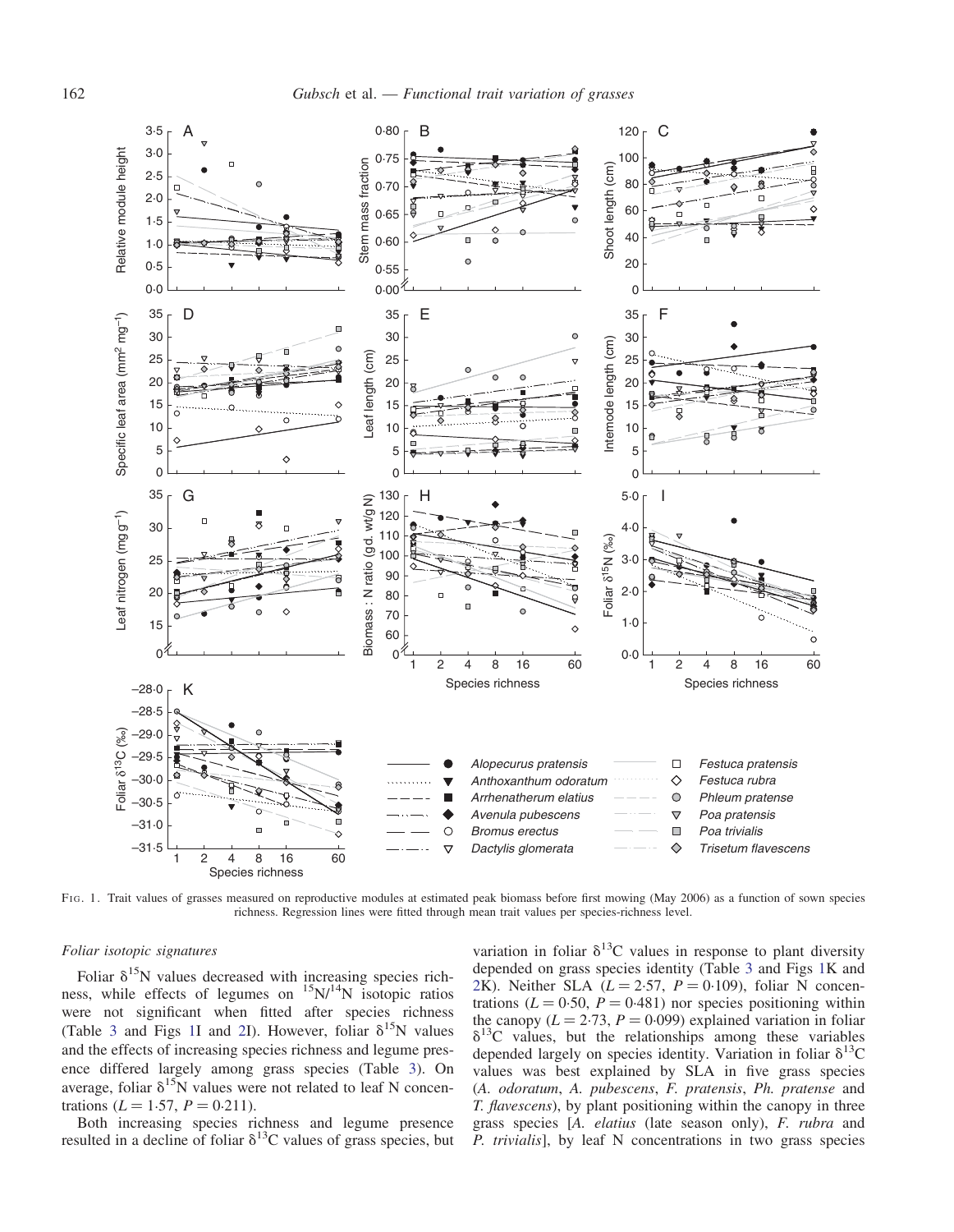<span id="page-6-0"></span>

FIG. 1. Trait values of grasses measured on reproductive modules at estimated peak biomass before first mowing (May 2006) as a function of sown species richness. Regression lines were fitted through mean trait values per species-richness level.

# Foliar isotopic signatures

Foliar  $\delta^{15}N$  values decreased with increasing species richness, while effects of legumes on  $^{15}N/^{14}N$  isotopic ratios were not significant when fitted after species richness (Table [3](#page-5-0) and Figs 1I and [2](#page-7-0)I). However, foliar  $\delta^{15}N$  values and the effects of increasing species richness and legume presence differed largely among grass species (Table [3](#page-5-0)). On average, foliar  $\delta^{15}N$  values were not related to leaf N concentrations  $(L = 1.57, P = 0.211)$ .

Both increasing species richness and legume presence resulted in a decline of foliar  $\delta^{13}$ C values of grass species, but

variation in foliar  $\delta^{13}$ C values in response to plant diversity depended on grass species identity (Table [3](#page-5-0) and Figs 1K and [2K](#page-7-0)). Neither SLA  $(L = 2.57, P = 0.109)$ , foliar N concentrations ( $L = 0.50$ ,  $P = 0.481$ ) nor species positioning within the canopy ( $L = 2.73$ ,  $P = 0.099$ ) explained variation in foliar  $\delta^{13}$ C values, but the relationships among these variables depended largely on species identity. Variation in foliar  $\delta^{13}C$ values was best explained by SLA in five grass species (A. odoratum, A. pubescens, F. pratensis, Ph. pratense and T. flavescens), by plant positioning within the canopy in three grass species [A. elatius (late season only), F. rubra and P. trivialis], by leaf N concentrations in two grass species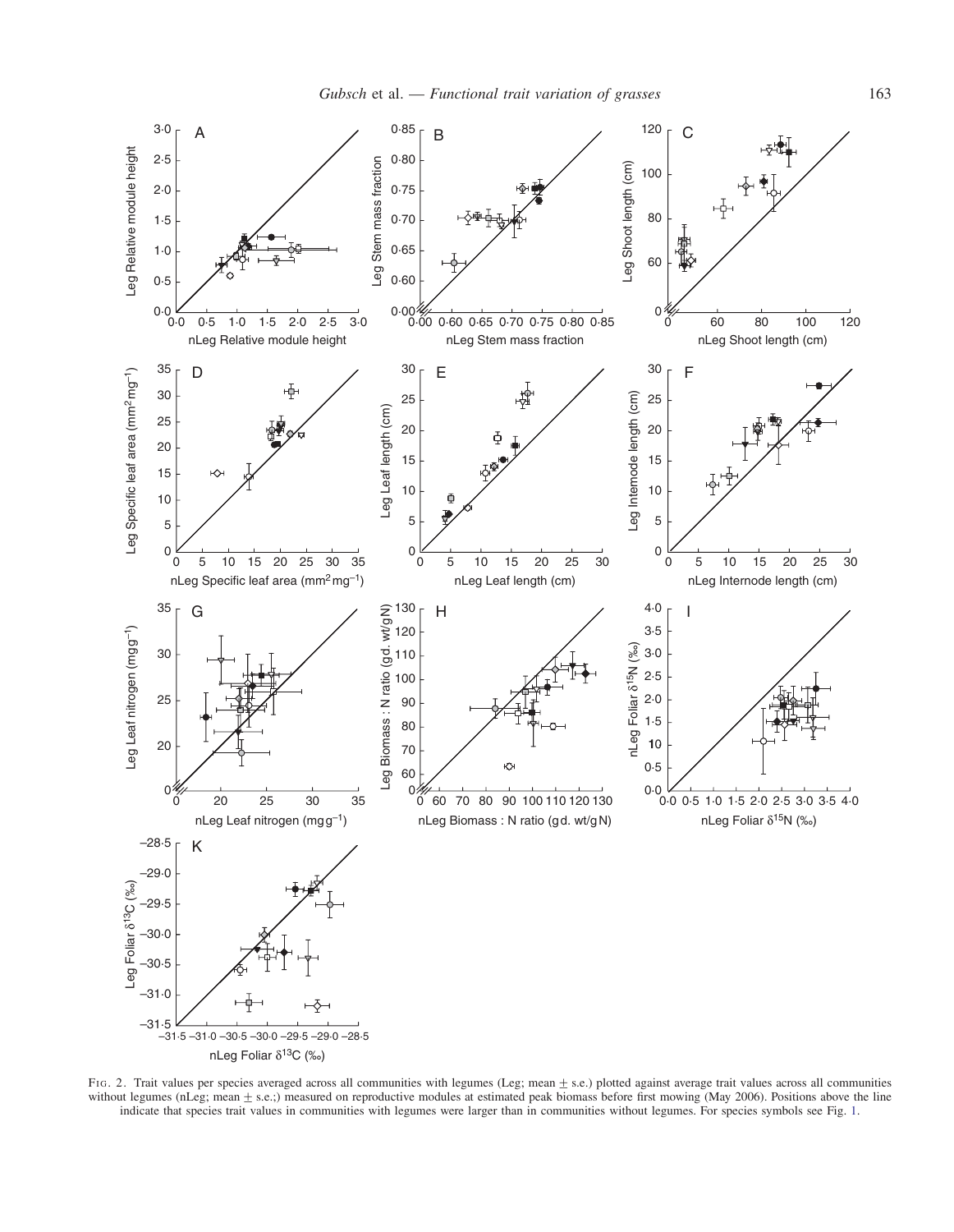

<span id="page-7-0"></span>

FIG. 2. Trait values per species averaged across all communities with legumes (Leg; mean  $\pm$  s.e.) plotted against average trait values across all communities without legumes (nLeg; mean  $\pm$  s.e.;) measured on reproductive modules at estimated peak biomass before first mowing (May 2006). Positions above the line indicate that species trait values in communities with legumes were larger than in communities without legumes. For species symbols see Fig. [1](#page-6-0).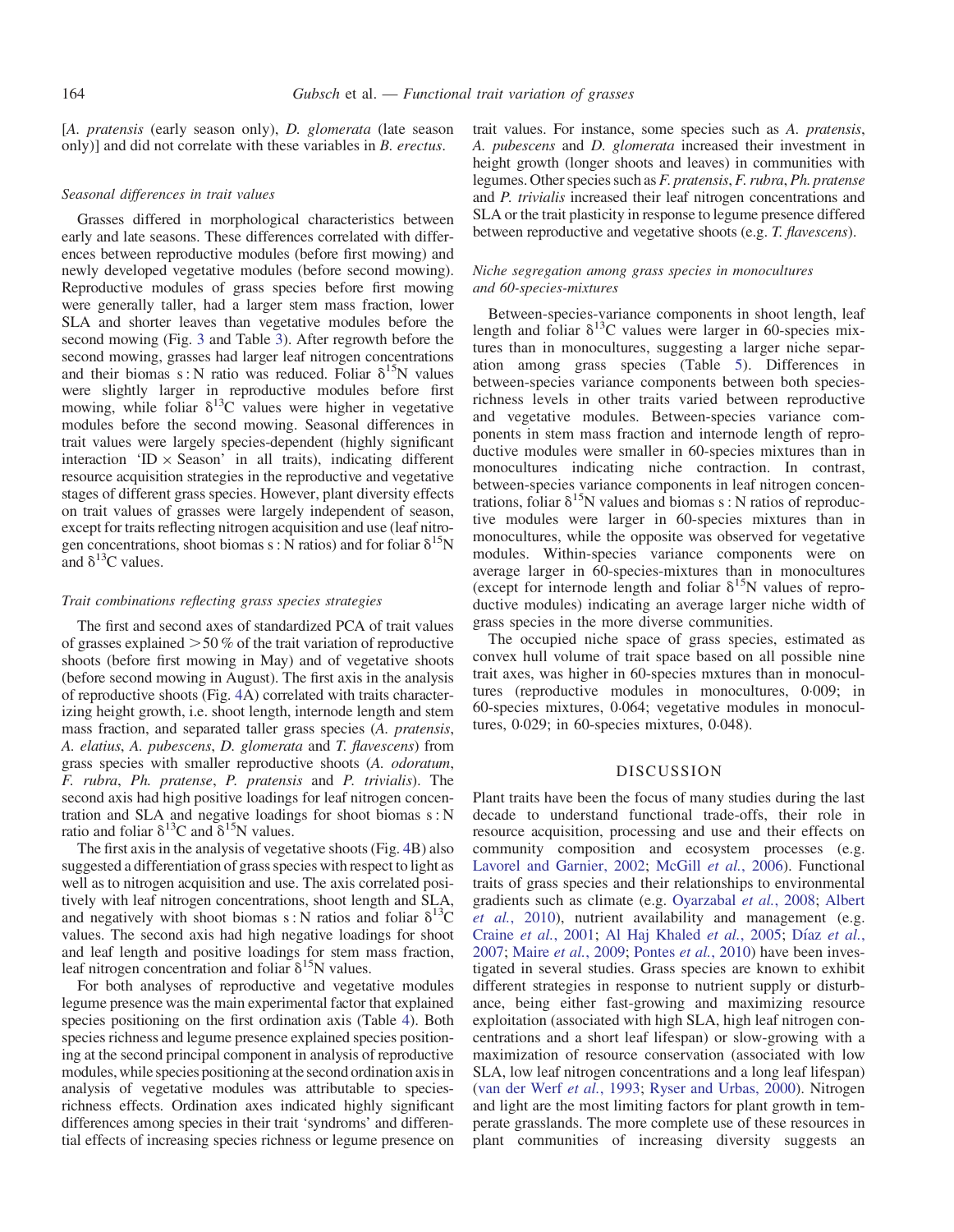[A. pratensis (early season only), D. glomerata (late season only)] and did not correlate with these variables in B. erectus.

#### Seasonal differences in trait values

Grasses differed in morphological characteristics between early and late seasons. These differences correlated with differences between reproductive modules (before first mowing) and newly developed vegetative modules (before second mowing). Reproductive modules of grass species before first mowing were generally taller, had a larger stem mass fraction, lower SLA and shorter leaves than vegetative modules before the second mowing (Fig. [3](#page-9-0) and Table [3\)](#page-5-0). After regrowth before the second mowing, grasses had larger leaf nitrogen concentrations and their biomas s : N ratio was reduced. Foliar  $\delta^{15}N$  values were slightly larger in reproductive modules before first mowing, while foliar  $\delta^{13}C$  values were higher in vegetative modules before the second mowing. Seasonal differences in trait values were largely species-dependent (highly significant interaction 'ID  $\times$  Season' in all traits), indicating different resource acquisition strategies in the reproductive and vegetative stages of different grass species. However, plant diversity effects on trait values of grasses were largely independent of season, except for traits reflecting nitrogen acquisition and use (leaf nitrogen concentrations, shoot biomas s : N ratios) and for foliar  $\delta^{15}N$ and  $\delta^{13}$ C values.

#### Trait combinations reflecting grass species strategies

The first and second axes of standardized PCA of trait values of grasses explained  $>50\%$  of the trait variation of reproductive shoots (before first mowing in May) and of vegetative shoots (before second mowing in August). The first axis in the analysis of reproductive shoots (Fig. [4A](#page-10-0)) correlated with traits characterizing height growth, i.e. shoot length, internode length and stem mass fraction, and separated taller grass species (A. pratensis, A. elatius, A. pubescens, D. glomerata and T. flavescens) from grass species with smaller reproductive shoots (A. odoratum, F. rubra, Ph. pratense, P. pratensis and P. trivialis). The second axis had high positive loadings for leaf nitrogen concentration and SLA and negative loadings for shoot biomas s : N ratio and foliar  $\delta^{13}$ C and  $\delta^{15}$ N values.

The first axis in the analysis of vegetative shoots (Fig. [4B](#page-10-0)) also suggested a differentiation of grass species with respect to light as well as to nitrogen acquisition and use. The axis correlated positively with leaf nitrogen concentrations, shoot length and SLA, and negatively with shoot biomas s: N ratios and foliar  $\delta^{13}C$ values. The second axis had high negative loadings for shoot and leaf length and positive loadings for stem mass fraction, leaf nitrogen concentration and foliar  $\delta^{15}N$  values.

For both analyses of reproductive and vegetative modules legume presence was the main experimental factor that explained species positioning on the first ordination axis (Table [4](#page-11-0)). Both species richness and legume presence explained species positioning at the second principal component in analysis of reproductive modules, while species positioning at the second ordination axis in analysis of vegetative modules was attributable to speciesrichness effects. Ordination axes indicated highly significant differences among species in their trait 'syndroms' and differential effects of increasing species richness or legume presence on trait values. For instance, some species such as A. pratensis, A. pubescens and D. glomerata increased their investment in height growth (longer shoots and leaves) in communities with legumes. Other species such as F. pratensis, F. rubra, Ph. pratense and P. trivialis increased their leaf nitrogen concentrations and SLA or the trait plasticity in response to legume presence differed between reproductive and vegetative shoots (e.g. T. flavescens).

# Niche segregation among grass species in monocultures and 60-species-mixtures

Between-species-variance components in shoot length, leaf length and foliar  $\delta^{13}$ C values were larger in 60-species mixtures than in monocultures, suggesting a larger niche separation among grass species (Table [5](#page-11-0)). Differences in between-species variance components between both speciesrichness levels in other traits varied between reproductive and vegetative modules. Between-species variance components in stem mass fraction and internode length of reproductive modules were smaller in 60-species mixtures than in monocultures indicating niche contraction. In contrast, between-species variance components in leaf nitrogen concentrations, foliar  $\delta^{15}N$  values and biomas s : N ratios of reproductive modules were larger in 60-species mixtures than in monocultures, while the opposite was observed for vegetative modules. Within-species variance components were on average larger in 60-species-mixtures than in monocultures (except for internode length and foliar  $\delta^{15}N$  values of reproductive modules) indicating an average larger niche width of grass species in the more diverse communities.

The occupied niche space of grass species, estimated as convex hull volume of trait space based on all possible nine trait axes, was higher in 60-species mxtures than in monocultures (reproductive modules in monocultures, 0.009; in 60-species mixtures, 0.064; vegetative modules in monocultures, 0.029; in 60-species mixtures, 0.048).

#### DISCUSSION

Plant traits have been the focus of many studies during the last decade to understand functional trade-offs, their role in resource acquisition, processing and use and their effects on community composition and ecosystem processes (e.g. [Lavorel and Garnier, 2002](#page-13-0); [McGill](#page-13-0) et al., 2006). Functional traits of grass species and their relationships to environmental gradients such as climate (e.g. [Oyarzabal](#page-13-0) et al., 2008; [Albert](#page-12-0) et al.[, 2010\)](#page-12-0), nutrient availability and management (e.g. Craine et al.[, 2001](#page-13-0); [Al Haj Khaled](#page-12-0) [et al.](#page-13-0), 2005; Díaz et al., [2007;](#page-13-0) Maire et al.[, 2009](#page-13-0); [Pontes](#page-13-0) et al., 2010) have been investigated in several studies. Grass species are known to exhibit different strategies in response to nutrient supply or disturbance, being either fast-growing and maximizing resource exploitation (associated with high SLA, high leaf nitrogen concentrations and a short leaf lifespan) or slow-growing with a maximization of resource conservation (associated with low SLA, low leaf nitrogen concentrations and a long leaf lifespan) ([van der Werf](#page-13-0) et al., 1993; [Ryser and Urbas, 2000\)](#page-13-0). Nitrogen and light are the most limiting factors for plant growth in temperate grasslands. The more complete use of these resources in plant communities of increasing diversity suggests an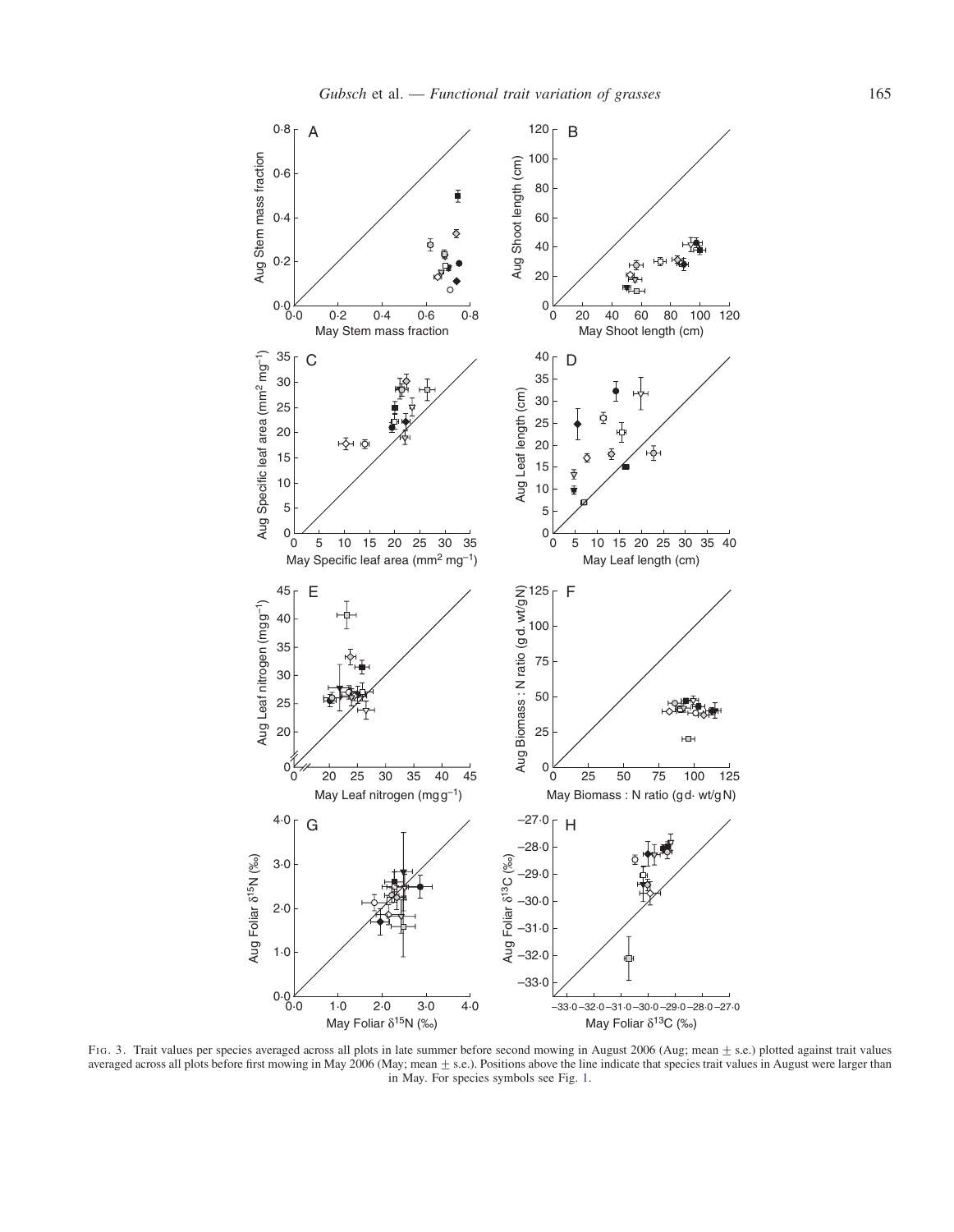<span id="page-9-0"></span>

FIG. 3. Trait values per species averaged across all plots in late summer before second mowing in August 2006 (Aug; mean  $\pm$  s.e.) plotted against trait values averaged across all plots before first mowing in May 2006 (May; mean  $\pm$  s.e.). Positions above the line indicate that species trait values in August were larger than in May. For species symbols see Fig. [1.](#page-6-0)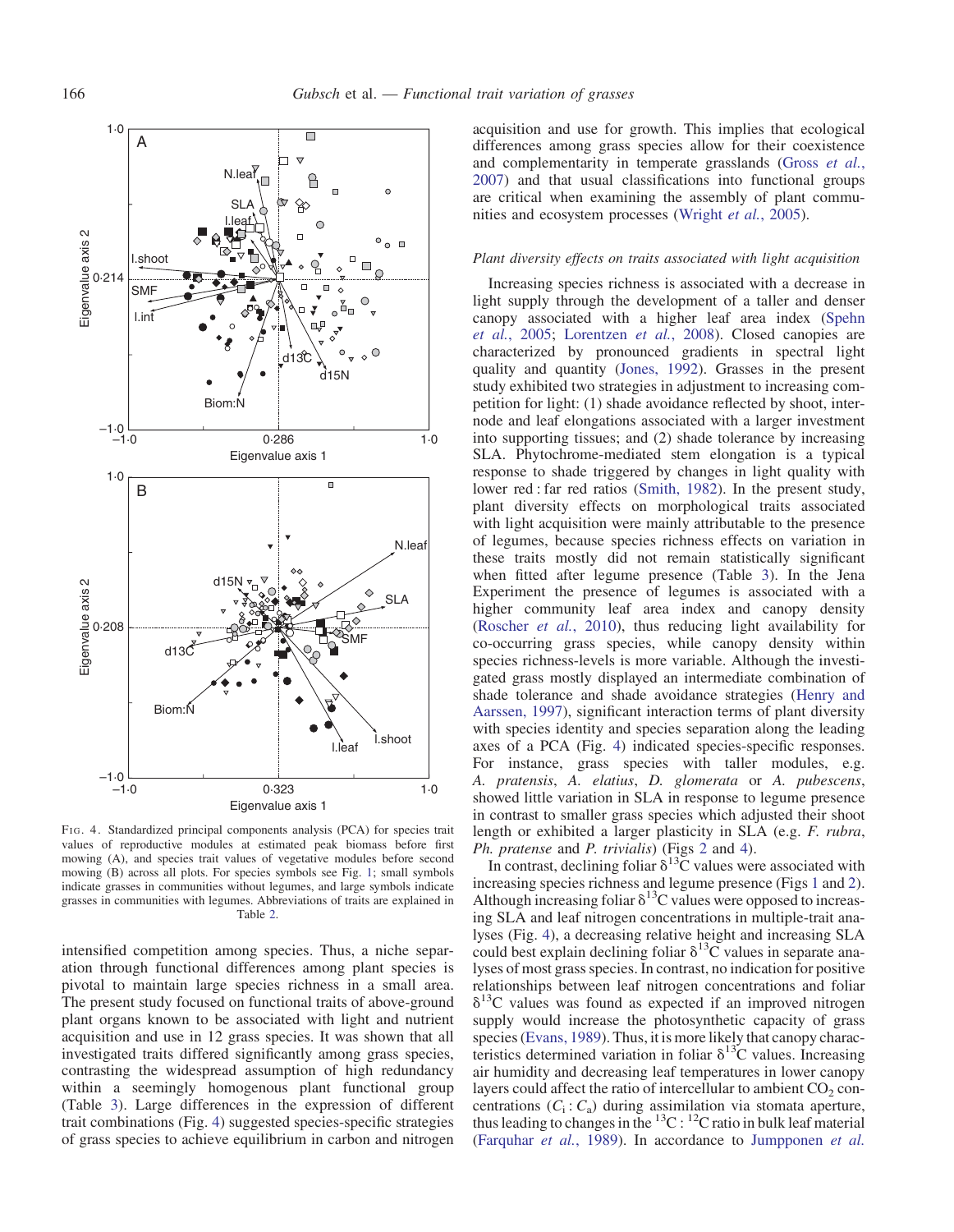<span id="page-10-0"></span>

FIG. 4. Standardized principal components analysis (PCA) for species trait values of reproductive modules at estimated peak biomass before first mowing (A), and species trait values of vegetative modules before second mowing (B) across all plots. For species symbols see Fig. [1](#page-6-0); small symbols indicate grasses in communities without legumes, and large symbols indicate grasses in communities with legumes. Abbreviations of traits are explained in Table [2.](#page-3-0)

intensified competition among species. Thus, a niche separation through functional differences among plant species is pivotal to maintain large species richness in a small area. The present study focused on functional traits of above-ground plant organs known to be associated with light and nutrient acquisition and use in 12 grass species. It was shown that all investigated traits differed significantly among grass species, contrasting the widespread assumption of high redundancy within a seemingly homogenous plant functional group (Table [3\)](#page-5-0). Large differences in the expression of different trait combinations (Fig. 4) suggested species-specific strategies of grass species to achieve equilibrium in carbon and nitrogen acquisition and use for growth. This implies that ecological differences among grass species allow for their coexistence and complementarity in temperate grasslands ([Gross](#page-13-0) et al., [2007\)](#page-13-0) and that usual classifications into functional groups are critical when examining the assembly of plant communities and ecosystem processes ([Wright](#page-13-0) et al., 2005).

#### Plant diversity effects on traits associated with light acquisition

Increasing species richness is associated with a decrease in light supply through the development of a taller and denser canopy associated with a higher leaf area index ([Spehn](#page-13-0) et al.[, 2005](#page-13-0); [Lorentzen](#page-13-0) et al., 2008). Closed canopies are characterized by pronounced gradients in spectral light quality and quantity [\(Jones, 1992](#page-13-0)). Grasses in the present study exhibited two strategies in adjustment to increasing competition for light: (1) shade avoidance reflected by shoot, internode and leaf elongations associated with a larger investment into supporting tissues; and (2) shade tolerance by increasing SLA. Phytochrome-mediated stem elongation is a typical response to shade triggered by changes in light quality with lower red : far red ratios [\(Smith, 1982\)](#page-13-0). In the present study, plant diversity effects on morphological traits associated with light acquisition were mainly attributable to the presence of legumes, because species richness effects on variation in these traits mostly did not remain statistically significant when fitted after legume presence (Table [3](#page-5-0)). In the Jena Experiment the presence of legumes is associated with a higher community leaf area index and canopy density ([Roscher](#page-13-0) et al., 2010), thus reducing light availability for co-occurring grass species, while canopy density within species richness-levels is more variable. Although the investigated grass mostly displayed an intermediate combination of shade tolerance and shade avoidance strategies [\(Henry and](#page-13-0) [Aarssen, 1997](#page-13-0)), significant interaction terms of plant diversity with species identity and species separation along the leading axes of a PCA (Fig. 4) indicated species-specific responses. For instance, grass species with taller modules, e.g. A. pratensis, A. elatius, D. glomerata or A. pubescens, showed little variation in SLA in response to legume presence in contrast to smaller grass species which adjusted their shoot length or exhibited a larger plasticity in SLA (e.g. F. rubra, Ph. pratense and P. trivialis) (Figs [2](#page-7-0) and 4).

In contrast, declining foliar  $\delta^{13}$ C values were associated with increasing species richness and legume presence (Figs [1](#page-6-0) and [2\)](#page-7-0). Although increasing foliar  $\delta^{13}$ C values were opposed to increasing SLA and leaf nitrogen concentrations in multiple-trait analyses (Fig. 4), a decreasing relative height and increasing SLA could best explain declining foliar  $\delta^{13}$ C values in separate analyses of most grass species. In contrast, no indication for positive relationships between leaf nitrogen concentrations and foliar  $\delta^{13}$ C values was found as expected if an improved nitrogen supply would increase the photosynthetic capacity of grass species [\(Evans, 1989](#page-13-0)). Thus, it is more likely that canopy characteristics determined variation in foliar  $\delta^{13}$ C values. Increasing air humidity and decreasing leaf temperatures in lower canopy layers could affect the ratio of intercellular to ambient  $CO<sub>2</sub>$  concentrations  $(C_i : C_a)$  during assimilation via stomata aperture, thus leading to changes in the  $^{13}$ C :  $^{12}$ C ratio in bulk leaf material ([Farquhar](#page-13-0) et al., 1989). In accordance to [Jumpponen](#page-13-0) et al.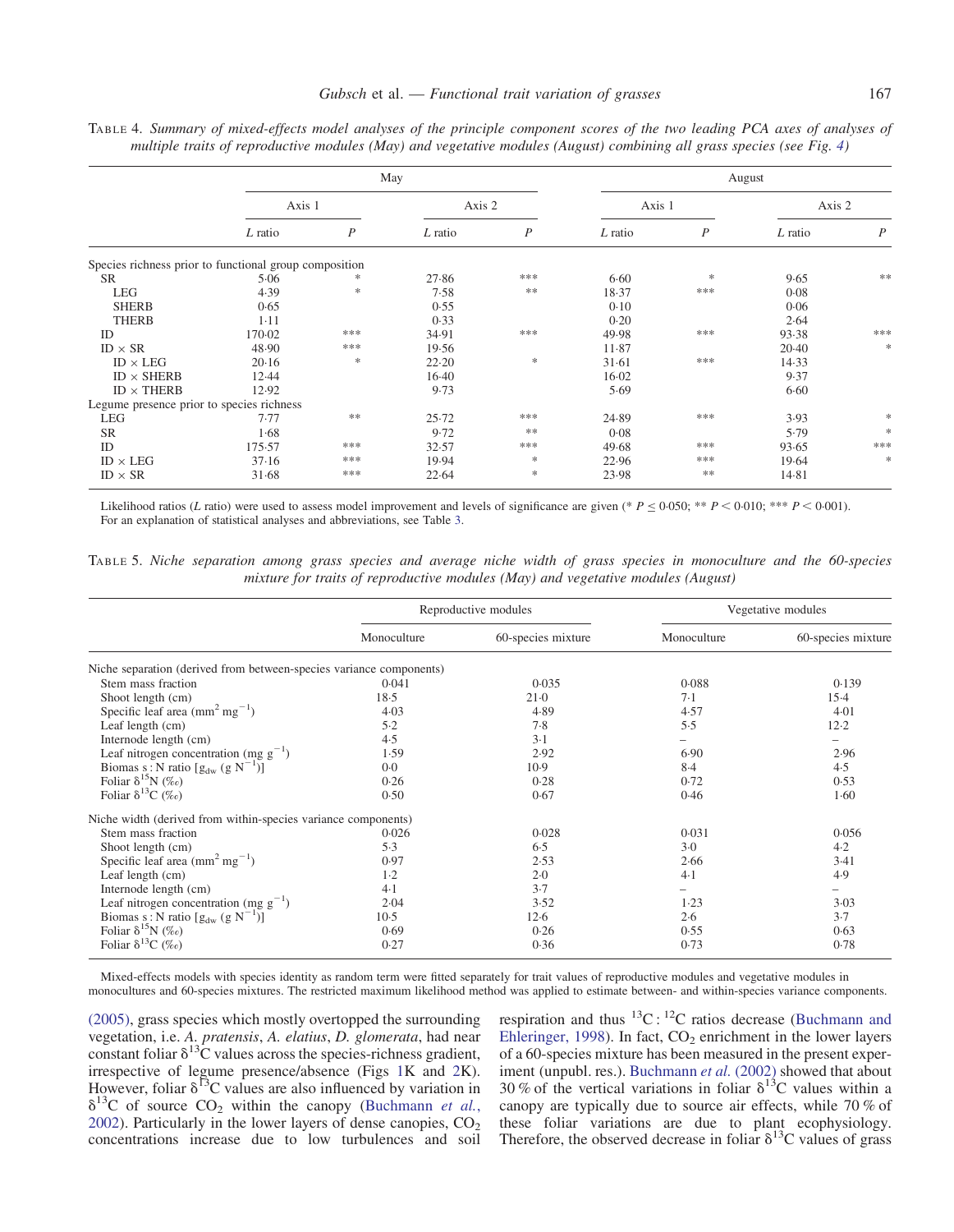#### Gubsch et al. — Functional trait variation of grasses 167

|                                                        |                |               | May          |               | August  |                  |         |                |  |  |
|--------------------------------------------------------|----------------|---------------|--------------|---------------|---------|------------------|---------|----------------|--|--|
|                                                        | Axis 1         |               | Axis 2       |               | Axis 1  |                  | Axis 2  |                |  |  |
|                                                        | P<br>$L$ ratio |               | P<br>L ratio |               | L ratio | $\boldsymbol{P}$ | L ratio | $\overline{P}$ |  |  |
| Species richness prior to functional group composition |                |               |              |               |         |                  |         |                |  |  |
| <b>SR</b>                                              | 5.06           | *             | 27.86        | ***           | 6.60    | *                | 9.65    | **             |  |  |
| <b>LEG</b>                                             | 4.39           | $\frac{1}{2}$ | 7.58         | **            | 18.37   | ***              | 0.08    |                |  |  |
| <b>SHERB</b>                                           | 0.65           |               | 0.55         |               | 0.10    |                  | 0.06    |                |  |  |
| <b>THERB</b>                                           | $1 - 11$       |               | 0.33         |               | 0.20    |                  | 2.64    |                |  |  |
| ID                                                     | 170.02         | ***           | 34.91        | ***           | 49.98   | ***              | 93.38   | ***            |  |  |
| $ID \times SR$                                         | 48.90          | ***           | 19.56        |               | 11.87   |                  | 20.40   | $\frac{1}{2}$  |  |  |
| $ID \times LEG$                                        | 20.16          | $\frac{1}{2}$ | 22.20        | $\frac{1}{2}$ | 31.61   | ***              | 14.33   |                |  |  |
| $ID \times SHERB$                                      | 12.44          |               | 16.40        |               | $16-02$ |                  | 9.37    |                |  |  |
| $ID \times THERB$                                      | 12.92          |               | 9.73         |               | 5.69    |                  | 6.60    |                |  |  |
| Legume presence prior to species richness              |                |               |              |               |         |                  |         |                |  |  |
| LEG                                                    | 7.77           | **            | 25.72        | ***           | 24.89   | ***              | 3.93    | $\frac{1}{2}$  |  |  |
| <b>SR</b>                                              | 1.68           |               | 9.72         | **            | 0.08    |                  | 5.79    | $\frac{1}{2}$  |  |  |
| ID                                                     | 175.57         | ***           | 32.57        | ***           | 49.68   | ***              | 93.65   | ***            |  |  |
| $ID \times LEG$                                        | 37.16          | ***           | 19.94        | *             | 22.96   | ***              | 19.64   | *              |  |  |
| $ID \times SR$                                         | 31.68          | ***           | 22.64        | *             | 23.98   | **               | 14.81   |                |  |  |

<span id="page-11-0"></span>TABLE 4. Summary of mixed-effects model analyses of the principle component scores of the two leading PCA axes of analyses of multiple traits of reproductive modules (May) and vegetative modules (August) combining all grass species (see Fig. [4](#page-10-0))

Likelihood ratios (L ratio) were used to assess model improvement and levels of significance are given (\* P < 0.050; \*\* P < 0.010; \*\*\* P < 0.001). For an explanation of statistical analyses and abbreviations, see Table [3](#page-5-0).

TABLE 5. Niche separation among grass species and average niche width of grass species in monoculture and the 60-species mixture for traits of reproductive modules (May) and vegetative modules (August)

|                                                                     |             | Reproductive modules | Vegetative modules |                    |  |  |
|---------------------------------------------------------------------|-------------|----------------------|--------------------|--------------------|--|--|
|                                                                     | Monoculture | 60-species mixture   | Monoculture        | 60-species mixture |  |  |
| Niche separation (derived from between-species variance components) |             |                      |                    |                    |  |  |
| Stem mass fraction                                                  | 0.041       | 0.035                | 0.088              | 0.139              |  |  |
| Shoot length (cm)                                                   | $18-5$      | $21-0$               | 7.1                | $15-4$             |  |  |
| Specific leaf area $(mm^2 mg^{-1})$                                 | 4.03        | 4.89                 | 4.57               | 4.01               |  |  |
| Leaf length (cm)                                                    | 5.2         | 7.8                  | 5.5                | $12-2$             |  |  |
| Internode length (cm)                                               | 4.5         | $3-1$                |                    |                    |  |  |
| Leaf nitrogen concentration (mg $g^{-1}$ )                          | 1.59        | 2.92                 | 6.90               | 2.96               |  |  |
| Biomas s: N ratio $[g_{dw} (g N^{-1})]$                             | 0.0         | 10.9                 | $8-4$              | 4.5                |  |  |
| Foliar $\delta^{15}N$ (%e)                                          | 0.26        | 0.28                 | 0.72               | 0.53               |  |  |
| Foliar $\delta^{13}C$ (‰)                                           | 0.50        | 0.67                 | 0.46               | 1.60               |  |  |
| Niche width (derived from within-species variance components)       |             |                      |                    |                    |  |  |
| Stem mass fraction                                                  | 0.026       | 0.028                | 0.031              | 0.056              |  |  |
| Shoot length (cm)                                                   | 5.3         | 6.5                  | $3-0$              | 4.2                |  |  |
| Specific leaf area $(mm^2 mg^{-1})$                                 | 0.97        | 2.53                 | 2.66               | 3.41               |  |  |
| Leaf length (cm)                                                    | $1-2$       | $2-0$                | $4-1$              | 4.9                |  |  |
| Internode length (cm)                                               | 4.1         | 3.7                  |                    |                    |  |  |
| Leaf nitrogen concentration (mg $g^{-1}$ )                          | 2.04        | 3.52                 | $1-23$             | 3.03               |  |  |
| Biomas s: N ratio $[g_{dw} (g N^{-1})]$                             | $10-5$      | 12.6                 | 2.6                | 3.7                |  |  |
| Foliar $\delta^{15}N$ (%e)                                          | 0.69        | 0.26                 | 0.55               | 0.63               |  |  |
| Foliar $\delta^{13}C$ (%o)                                          | 0.27        | 0.36                 | 0.73               | 0.78               |  |  |

Mixed-effects models with species identity as random term were fitted separately for trait values of reproductive modules and vegetative modules in monocultures and 60-species mixtures. The restricted maximum likelihood method was applied to estimate between- and within-species variance components.

[\(2005\)](#page-13-0), grass species which mostly overtopped the surrounding vegetation, i.e. A. pratensis, A. elatius, D. glomerata, had near constant foliar  $\delta^{13}$ C values across the species-richness gradient, irrespective of legume presence/absence (Figs [1K](#page-6-0) and [2K](#page-7-0)). However, foliar  $\delta^{13}C$  values are also influenced by variation in  $\delta^{13}$ C of source CO<sub>2</sub> within the canopy ([Buchmann](#page-13-0) *et al.*, [2002\)](#page-13-0). Particularly in the lower layers of dense canopies,  $CO<sub>2</sub>$ concentrations increase due to low turbulences and soil

respiration and thus  ${}^{13}C$ :  ${}^{12}C$  ratios decrease [\(Buchmann and](#page-13-0) [Ehleringer, 1998\)](#page-13-0). In fact,  $CO<sub>2</sub>$  enrichment in the lower layers of a 60-species mixture has been measured in the present exper-iment (unpubl. res.). [Buchmann](#page-13-0) et al. (2002) showed that about 30 % of the vertical variations in foliar  $\delta^{13}C$  values within a canopy are typically due to source air effects, while 70 % of these foliar variations are due to plant ecophysiology. Therefore, the observed decrease in foliar  $\delta^{13}$ C values of grass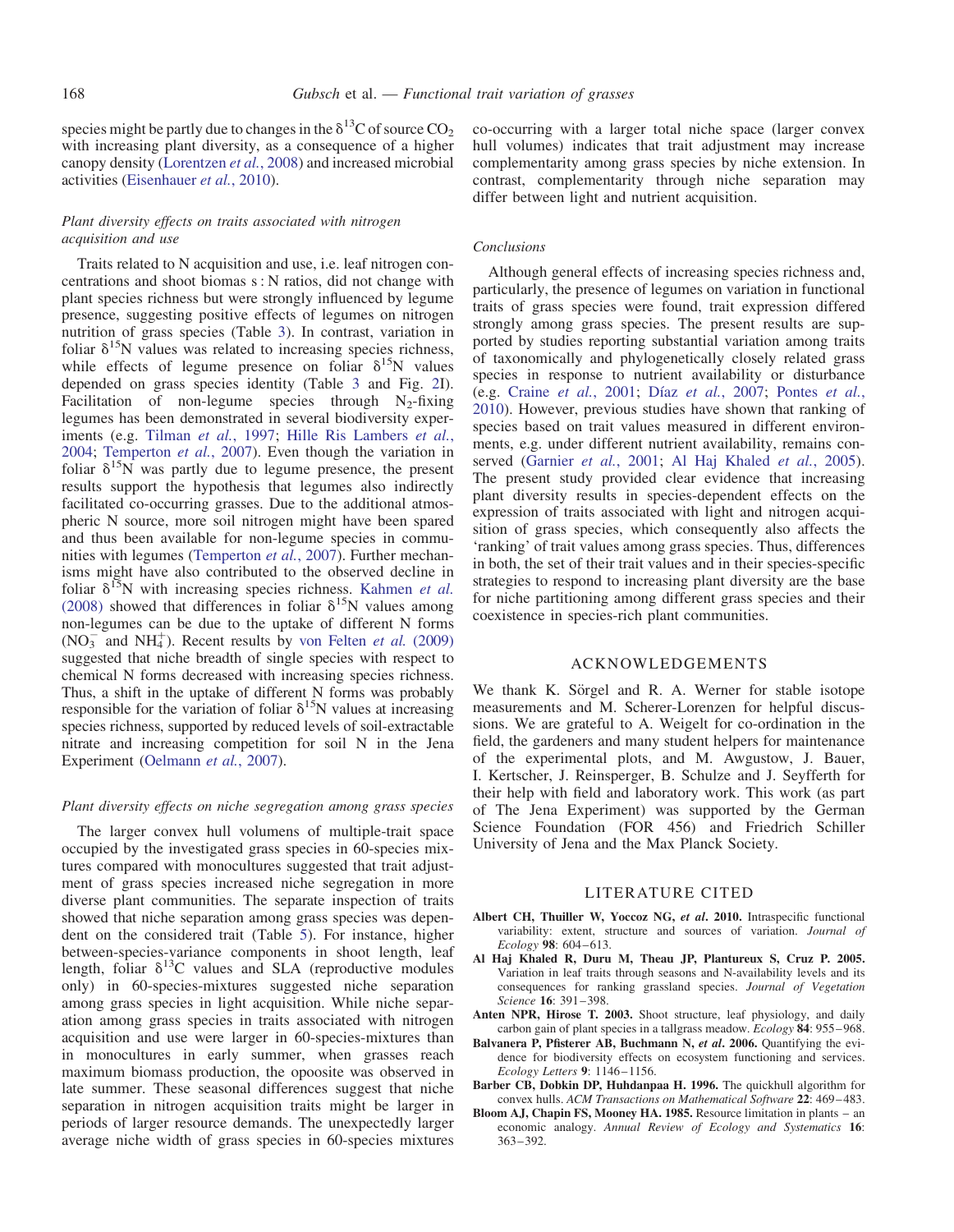<span id="page-12-0"></span>species might be partly due to changes in the  $\delta^{13}$ C of source CO<sub>2</sub> with increasing plant diversity, as a consequence of a higher canopy density ([Lorentzen](#page-13-0) et al., 2008) and increased microbial activities ([Eisenhauer](#page-13-0) et al., 2010).

#### Plant diversity effects on traits associated with nitrogen acquisition and use

Traits related to N acquisition and use, i.e. leaf nitrogen concentrations and shoot biomas s : N ratios, did not change with plant species richness but were strongly influenced by legume presence, suggesting positive effects of legumes on nitrogen nutrition of grass species (Table [3\)](#page-5-0). In contrast, variation in foliar  $\delta^{15}N$  values was related to increasing species richness, while effects of legume presence on foliar  $\delta^{15}N$  values depended on grass species identity (Table [3](#page-5-0) and Fig. [2](#page-7-0)I). Facilitation of non-legume species through  $N_2$ -fixing legumes has been demonstrated in several biodiversity exper-iments (e.g. [Tilman](#page-13-0) et al., 1997; [Hille Ris Lambers](#page-13-0) et al., [2004;](#page-13-0) [Temperton](#page-13-0) et al., 2007). Even though the variation in foliar  $\delta^{15}$ N was partly due to legume presence, the present results support the hypothesis that legumes also indirectly facilitated co-occurring grasses. Due to the additional atmospheric N source, more soil nitrogen might have been spared and thus been available for non-legume species in commu-nities with legumes [\(Temperton](#page-13-0) et al., 2007). Further mechanisms might have also contributed to the observed decline in foliar  $\delta^{15}N$  with increasing species richness. [Kahmen](#page-13-0) *et al.* [\(2008\)](#page-13-0) showed that differences in foliar  $\delta^{15}N$  values among non-legumes can be due to the uptake of different N forms  $(NO<sub>3</sub><sup>-</sup>$  and NH<sup>+</sup><sub>4</sub>). Recent results by [von Felten](#page-13-0) *et al.* (2009) suggested that niche breadth of single species with respect to chemical N forms decreased with increasing species richness. Thus, a shift in the uptake of different N forms was probably responsible for the variation of foliar  $\delta^{15}N$  values at increasing species richness, supported by reduced levels of soil-extractable nitrate and increasing competition for soil N in the Jena Experiment ([Oelmann](#page-13-0) et al., 2007).

#### Plant diversity effects on niche segregation among grass species

The larger convex hull volumens of multiple-trait space occupied by the investigated grass species in 60-species mixtures compared with monocultures suggested that trait adjustment of grass species increased niche segregation in more diverse plant communities. The separate inspection of traits showed that niche separation among grass species was dependent on the considered trait (Table [5\)](#page-11-0). For instance, higher between-species-variance components in shoot length, leaf length, foliar  $\delta^{13}$ C values and SLA (reproductive modules only) in 60-species-mixtures suggested niche separation among grass species in light acquisition. While niche separation among grass species in traits associated with nitrogen acquisition and use were larger in 60-species-mixtures than in monocultures in early summer, when grasses reach maximum biomass production, the opoosite was observed in late summer. These seasonal differences suggest that niche separation in nitrogen acquisition traits might be larger in periods of larger resource demands. The unexpectedly larger average niche width of grass species in 60-species mixtures

co-occurring with a larger total niche space (larger convex hull volumes) indicates that trait adjustment may increase complementarity among grass species by niche extension. In contrast, complementarity through niche separation may differ between light and nutrient acquisition.

#### Conclusions

Although general effects of increasing species richness and, particularly, the presence of legumes on variation in functional traits of grass species were found, trait expression differed strongly among grass species. The present results are supported by studies reporting substantial variation among traits of taxonomically and phylogenetically closely related grass species in response to nutrient availability or disturbance (e.g. Craine  $et$  al.[, 2001;](#page-13-0) Díaz  $et$  al.[, 2007;](#page-13-0) [Pontes](#page-13-0)  $et$  al., [2010\)](#page-13-0). However, previous studies have shown that ranking of species based on trait values measured in different environments, e.g. under different nutrient availability, remains con-served ([Garnier](#page-13-0) et al., 2001; Al Haj Khaled et al., 2005). The present study provided clear evidence that increasing plant diversity results in species-dependent effects on the expression of traits associated with light and nitrogen acquisition of grass species, which consequently also affects the 'ranking' of trait values among grass species. Thus, differences in both, the set of their trait values and in their species-specific strategies to respond to increasing plant diversity are the base for niche partitioning among different grass species and their coexistence in species-rich plant communities.

#### ACKNOWLEDGEMENTS

We thank K. Sörgel and R. A. Werner for stable isotope measurements and M. Scherer-Lorenzen for helpful discussions. We are grateful to A. Weigelt for co-ordination in the field, the gardeners and many student helpers for maintenance of the experimental plots, and M. Awgustow, J. Bauer, I. Kertscher, J. Reinsperger, B. Schulze and J. Seyfferth for their help with field and laboratory work. This work (as part of The Jena Experiment) was supported by the German Science Foundation (FOR 456) and Friedrich Schiller University of Jena and the Max Planck Society.

# LITERATURE CITED

- Albert CH, Thuiller W, Yoccoz NG, et al. 2010. Intraspecific functional variability: extent, structure and sources of variation. Journal of Ecology 98: 604–613.
- Al Haj Khaled R, Duru M, Theau JP, Plantureux S, Cruz P. 2005. Variation in leaf traits through seasons and N-availability levels and its consequences for ranking grassland species. Journal of Vegetation Science 16: 391–398.
- Anten NPR, Hirose T. 2003. Shoot structure, leaf physiology, and daily carbon gain of plant species in a tallgrass meadow. Ecology 84: 955–968.
- Balvanera P, Pfisterer AB, Buchmann N, et al. 2006. Quantifying the evidence for biodiversity effects on ecosystem functioning and services. Ecology Letters 9: 1146–1156.
- Barber CB, Dobkin DP, Huhdanpaa H. 1996. The quickhull algorithm for convex hulls. ACM Transactions on Mathematical Software 22: 469–483.
- Bloom AJ, Chapin FS, Mooney HA. 1985. Resource limitation in plants an economic analogy. Annual Review of Ecology and Systematics 16: 363–392.